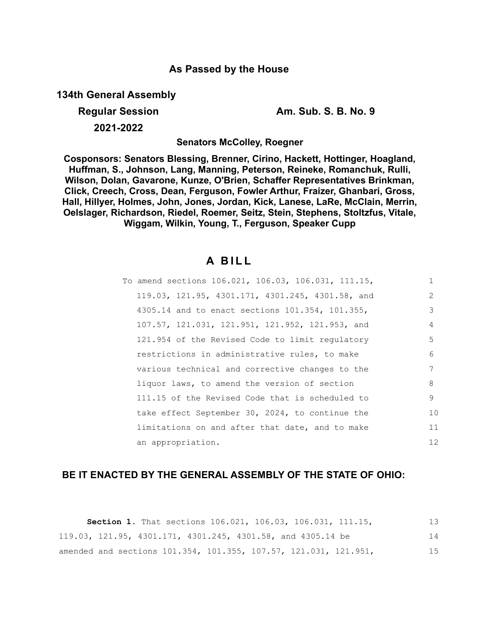# **As Passed by the House**

**134th General Assembly**

# **2021-2022**

**Regular Session Am. Sub. S. B. No. 9**

**Senators McColley, Roegner**

**Cosponsors: Senators Blessing, Brenner, Cirino, Hackett, Hottinger, Hoagland, Huffman, S., Johnson, Lang, Manning, Peterson, Reineke, Romanchuk, Rulli, Wilson, Dolan, Gavarone, Kunze, O'Brien, Schaffer Representatives Brinkman, Click, Creech, Cross, Dean, Ferguson, Fowler Arthur, Fraizer, Ghanbari, Gross, Hall, Hillyer, Holmes, John, Jones, Jordan, Kick, Lanese, LaRe, McClain, Merrin, Oelslager, Richardson, Riedel, Roemer, Seitz, Stein, Stephens, Stoltzfus, Vitale, Wiggam, Wilkin, Young, T., Ferguson, Speaker Cupp**

# **A B I L L**

| To amend sections 106.021, 106.03, 106.031, 111.15, | $\mathbf{1}$ |
|-----------------------------------------------------|--------------|
| 119.03, 121.95, 4301.171, 4301.245, 4301.58, and    | 2            |
| 4305.14 and to enact sections 101.354, 101.355,     | 3            |
| 107.57, 121.031, 121.951, 121.952, 121.953, and     | 4            |
| 121.954 of the Revised Code to limit regulatory     | 5            |
| restrictions in administrative rules, to make       | 6            |
| various technical and corrective changes to the     | 7            |
| liquor laws, to amend the version of section        | 8            |
| 111.15 of the Revised Code that is scheduled to     | 9            |
| take effect September 30, 2024, to continue the     | 10           |
| limitations on and after that date, and to make     | 11           |
| an appropriation.                                   | 12           |

# **BE IT ENACTED BY THE GENERAL ASSEMBLY OF THE STATE OF OHIO:**

|  | Section 1. That sections 106.021, 106.03, 106.031, 111.15,       |  |  | 13 |
|--|------------------------------------------------------------------|--|--|----|
|  | 119.03, 121.95, 4301.171, 4301.245, 4301.58, and 4305.14 be      |  |  | 14 |
|  | amended and sections 101.354, 101.355, 107.57, 121.031, 121.951, |  |  | 15 |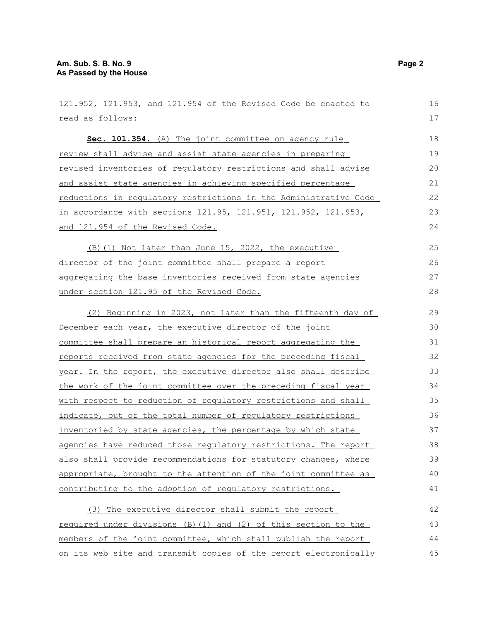| 121.952, 121.953, and 121.954 of the Revised Code be enacted to  | 16 |
|------------------------------------------------------------------|----|
| read as follows:                                                 | 17 |
| Sec. 101.354. (A) The joint committee on agency rule             | 18 |
| review shall advise and assist state agencies in preparing       | 19 |
| revised inventories of regulatory restrictions and shall advise  | 20 |
| and assist state agencies in achieving specified percentage      | 21 |
| reductions in regulatory restrictions in the Administrative Code | 22 |
| in accordance with sections 121.95, 121.951, 121.952, 121.953,   | 23 |
| and 121.954 of the Revised Code.                                 | 24 |
| (B) (1) Not later than June 15, 2022, the executive              | 25 |
| director of the joint committee shall prepare a report           | 26 |
| aggregating the base inventories received from state agencies    | 27 |
| under section 121.95 of the Revised Code.                        | 28 |
| (2) Beginning in 2023, not later than the fifteenth day of       | 29 |
| December each year, the executive director of the joint          | 30 |
| committee shall prepare an historical report aggregating the     | 31 |
| reports received from state agencies for the preceding fiscal    | 32 |
| year. In the report, the executive director also shall describe  | 33 |
| the work of the joint committee over the preceding fiscal year   | 34 |
| with respect to reduction of regulatory restrictions and shall   | 35 |
| indicate, out of the total number of regulatory restrictions     | 36 |
| inventoried by state agencies, the percentage by which state     | 37 |
| agencies have reduced those regulatory restrictions. The report  | 38 |
| also shall provide recommendations for statutory changes, where  | 39 |
| appropriate, brought to the attention of the joint committee as  | 40 |
| contributing to the adoption of regulatory restrictions.         | 41 |
| (3) The executive director shall submit the report               | 42 |
| required under divisions (B) (1) and (2) of this section to the  | 43 |
| members of the joint committee, which shall publish the report   | 44 |
| on its web site and transmit copies of the report electronically | 45 |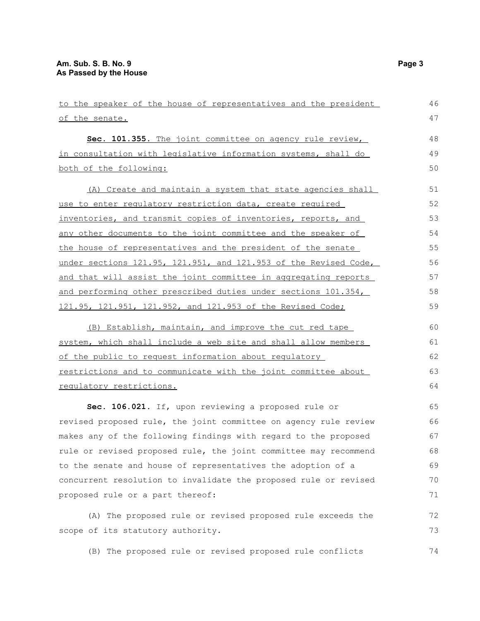| to the speaker of the house of representatives and the president | 46 |
|------------------------------------------------------------------|----|
| of the senate.                                                   | 47 |
| Sec. 101.355. The joint committee on agency rule review,         | 48 |
| in consultation with legislative information systems, shall do   | 49 |
| both of the following:                                           | 50 |
|                                                                  |    |
| (A) Create and maintain a system that state agencies shall       | 51 |
| use to enter regulatory restriction data, create required        | 52 |
| inventories, and transmit copies of inventories, reports, and    | 53 |
| any other documents to the joint committee and the speaker of    | 54 |
| the house of representatives and the president of the senate     | 55 |
| under sections 121.95, 121.951, and 121.953 of the Revised Code, | 56 |
| and that will assist the joint committee in aggregating reports  | 57 |
| and performing other prescribed duties under sections 101.354,   | 58 |
| 121.95, 121.951, 121.952, and 121.953 of the Revised Code;       | 59 |
| (B) Establish, maintain, and improve the cut red tape            | 60 |
| system, which shall include a web site and shall allow members   | 61 |
| of the public to request information about regulatory            | 62 |
|                                                                  | 63 |
| restrictions and to communicate with the joint committee about   |    |
| requlatory restrictions.                                         | 64 |
| Sec. 106.021. If, upon reviewing a proposed rule or              | 65 |
| revised proposed rule, the joint committee on agency rule review | 66 |
| makes any of the following findings with regard to the proposed  | 67 |
| rule or revised proposed rule, the joint committee may recommend | 68 |
| to the senate and house of representatives the adoption of a     | 69 |
| concurrent resolution to invalidate the proposed rule or revised | 70 |
| proposed rule or a part thereof:                                 | 71 |
| (A) The proposed rule or revised proposed rule exceeds the       | 72 |
| scope of its statutory authority.                                | 73 |
|                                                                  |    |
| (B) The proposed rule or revised proposed rule conflicts         | 74 |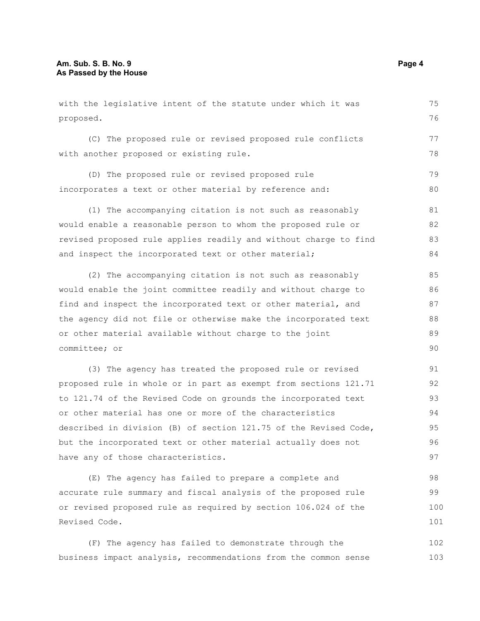with the legislative intent of the statute under which it was proposed. (C) The proposed rule or revised proposed rule conflicts with another proposed or existing rule. (D) The proposed rule or revised proposed rule incorporates a text or other material by reference and: (1) The accompanying citation is not such as reasonably would enable a reasonable person to whom the proposed rule or revised proposed rule applies readily and without charge to find and inspect the incorporated text or other material; (2) The accompanying citation is not such as reasonably would enable the joint committee readily and without charge to find and inspect the incorporated text or other material, and the agency did not file or otherwise make the incorporated text or other material available without charge to the joint committee; or (3) The agency has treated the proposed rule or revised proposed rule in whole or in part as exempt from sections 121.71 to 121.74 of the Revised Code on grounds the incorporated text or other material has one or more of the characteristics described in division (B) of section 121.75 of the Revised Code, 75 76 77 78 79 80 81 82 83 84 85 86 87 88 89  $90$ 91 92 93 94 95

but the incorporated text or other material actually does not have any of those characteristics. 96 97

(E) The agency has failed to prepare a complete and accurate rule summary and fiscal analysis of the proposed rule or revised proposed rule as required by section 106.024 of the Revised Code. 98 99 100 101

(F) The agency has failed to demonstrate through the business impact analysis, recommendations from the common sense 102 103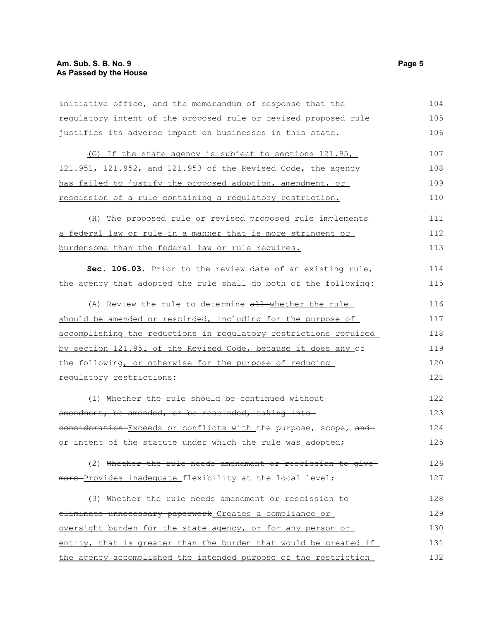initiative office, and the memorandum of response that the regulatory intent of the proposed rule or revised proposed rule justifies its adverse impact on businesses in this state. 104 105 106

(G) If the state agency is subject to sections 121.95, 121.951, 121.952, and 121.953 of the Revised Code, the agency has failed to justify the proposed adoption, amendment, or rescission of a rule containing a regulatory restriction. 107 108 109 110

(H) The proposed rule or revised proposed rule implements a federal law or rule in a manner that is more stringent or burdensome than the federal law or rule requires. 111 112 113

**Sec. 106.03.** Prior to the review date of an existing rule, the agency that adopted the rule shall do both of the following: 114 115

(A) Review the rule to determine all-whether the rule should be amended or rescinded, including for the purpose of accomplishing the reductions in regulatory restrictions required by section 121.951 of the Revised Code, because it does any of the following, or otherwise for the purpose of reducing regulatory restrictions: 116 117 118 119 120 121

(1) Whether the rule should be continued without amendment, be amended, or be rescinded, taking intoconsideration Exceeds or conflicts with the purpose, scope, and or intent of the statute under which the rule was adopted; 122 123 124 125

(2) Whether the rule needs amendment or rescission to give more-Provides inadequate flexibility at the local level; 126 127

(3) Whether the rule needs amendment or rescission to eliminate unnecessary paperwork Creates a compliance or oversight burden for the state agency, or for any person or entity, that is greater than the burden that would be created if the agency accomplished the intended purpose of the restriction 128 129 130 131 132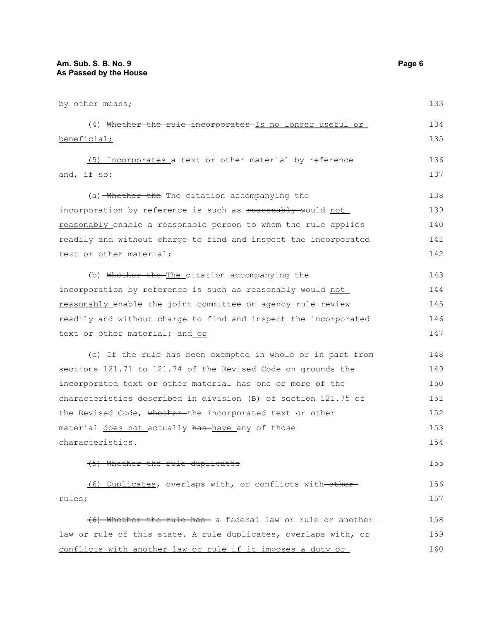by other means; (4) Whether the rule incorporates Is no longer useful or beneficial; (5) Incorporates a text or other material by reference and, if so: (a) Whether the The citation accompanying the incorporation by reference is such as reasonably would not reasonably enable a reasonable person to whom the rule applies readily and without charge to find and inspect the incorporated text or other material; (b) Whether the The citation accompanying the incorporation by reference is such as reasonably would not reasonably enable the joint committee on agency rule review readily and without charge to find and inspect the incorporated text or other material; - and or (c) If the rule has been exempted in whole or in part from sections 121.71 to 121.74 of the Revised Code on grounds the incorporated text or other material has one or more of the characteristics described in division (B) of section 121.75 of the Revised Code, whether-the incorporated text or other material does not actually has have any of those characteristics. (5) Whether the rule duplicates (6) Duplicates, overlaps with, or conflicts with other rules; (6) Whether the rule has a federal law or rule or another law or rule of this state. A rule duplicates, overlaps with, or conflicts with another law or rule if it imposes a duty or 133 134 135 136 137 138 139 140 141 142 143 144 145 146 147 148 149 150 151 152 153 154 155 156 157 158 159 160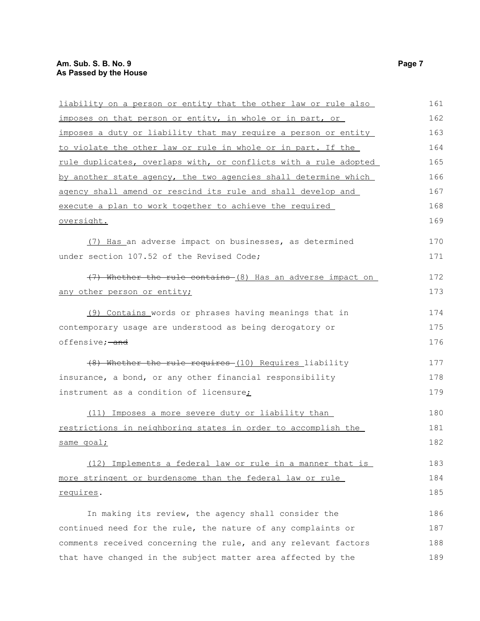| liability on a person or entity that the other law or rule also  | 161 |
|------------------------------------------------------------------|-----|
| imposes on that person or entity, in whole or in part, or        | 162 |
| imposes a duty or liability that may require a person or entity  | 163 |
| to violate the other law or rule in whole or in part. If the     | 164 |
| rule duplicates, overlaps with, or conflicts with a rule adopted | 165 |
| by another state agency, the two agencies shall determine which  | 166 |
| agency shall amend or rescind its rule and shall develop and     | 167 |
| execute a plan to work together to achieve the required          | 168 |
| oversight.                                                       | 169 |
| (7) Has an adverse impact on businesses, as determined           | 170 |
| under section 107.52 of the Revised Code;                        | 171 |
| (7) Whether the rule contains (8) Has an adverse impact on       | 172 |
| any other person or entity;                                      | 173 |
| (9) Contains words or phrases having meanings that in            | 174 |
| contemporary usage are understood as being derogatory or         | 175 |
| offensive; and                                                   | 176 |
| (8) Whether the rule requires (10) Requires liability            | 177 |
| insurance, a bond, or any other financial responsibility         | 178 |
| instrument as a condition of licensure;                          | 179 |
| (11) Imposes a more severe duty or liability than                | 180 |
| restrictions in neighboring states in order to accomplish the    | 181 |
| same goal;                                                       | 182 |
| (12) Implements a federal law or rule in a manner that is        | 183 |
| more stringent or burdensome than the federal law or rule        | 184 |
| requires.                                                        | 185 |
| In making its review, the agency shall consider the              | 186 |
| continued need for the rule, the nature of any complaints or     | 187 |
| comments received concerning the rule, and any relevant factors  | 188 |
| that have changed in the subject matter area affected by the     | 189 |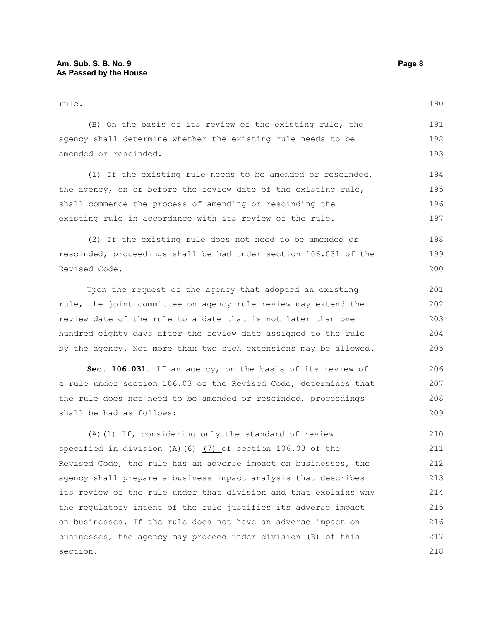rule. (B) On the basis of its review of the existing rule, the agency shall determine whether the existing rule needs to be amended or rescinded. (1) If the existing rule needs to be amended or rescinded, the agency, on or before the review date of the existing rule, shall commence the process of amending or rescinding the existing rule in accordance with its review of the rule. (2) If the existing rule does not need to be amended or rescinded, proceedings shall be had under section 106.031 of the Revised Code. Upon the request of the agency that adopted an existing rule, the joint committee on agency rule review may extend the review date of the rule to a date that is not later than one hundred eighty days after the review date assigned to the rule by the agency. Not more than two such extensions may be allowed. 190 191 192 193 194 195 196 197 198 199 200 201 202 203 204 205

**Sec. 106.031.** If an agency, on the basis of its review of a rule under section 106.03 of the Revised Code, determines that the rule does not need to be amended or rescinded, proceedings shall be had as follows:

(A)(1) If, considering only the standard of review specified in division  $(A)$   $(6)$   $(7)$  of section 106.03 of the Revised Code, the rule has an adverse impact on businesses, the agency shall prepare a business impact analysis that describes its review of the rule under that division and that explains why the regulatory intent of the rule justifies its adverse impact on businesses. If the rule does not have an adverse impact on businesses, the agency may proceed under division (B) of this section. 210 211 212 213 214 215 216 217 218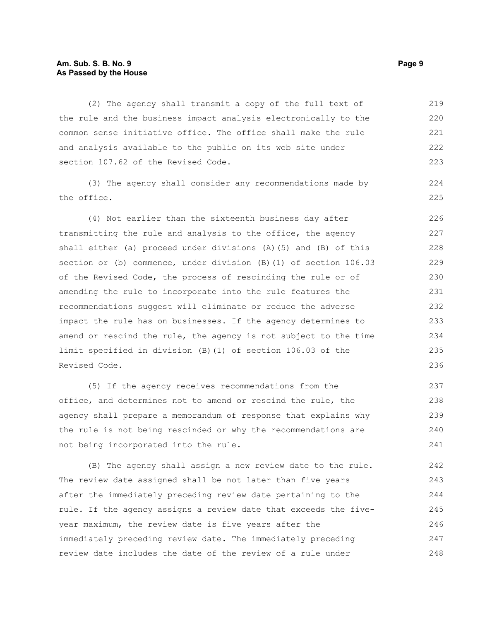#### **Am. Sub. S. B. No. 9 Page 9 As Passed by the House**

(2) The agency shall transmit a copy of the full text of the rule and the business impact analysis electronically to the common sense initiative office. The office shall make the rule and analysis available to the public on its web site under section 107.62 of the Revised Code. 219 220 221 222 223

(3) The agency shall consider any recommendations made by the office.

(4) Not earlier than the sixteenth business day after transmitting the rule and analysis to the office, the agency shall either (a) proceed under divisions (A)(5) and (B) of this section or (b) commence, under division (B)(1) of section 106.03 of the Revised Code, the process of rescinding the rule or of amending the rule to incorporate into the rule features the recommendations suggest will eliminate or reduce the adverse impact the rule has on businesses. If the agency determines to amend or rescind the rule, the agency is not subject to the time limit specified in division (B)(1) of section 106.03 of the Revised Code. 226 227 228 229 230 231 232 233 234 235 236

(5) If the agency receives recommendations from the office, and determines not to amend or rescind the rule, the agency shall prepare a memorandum of response that explains why the rule is not being rescinded or why the recommendations are not being incorporated into the rule. 237 238 239 240 241

(B) The agency shall assign a new review date to the rule. The review date assigned shall be not later than five years after the immediately preceding review date pertaining to the rule. If the agency assigns a review date that exceeds the fiveyear maximum, the review date is five years after the immediately preceding review date. The immediately preceding review date includes the date of the review of a rule under 242 243 244 245 246 247 248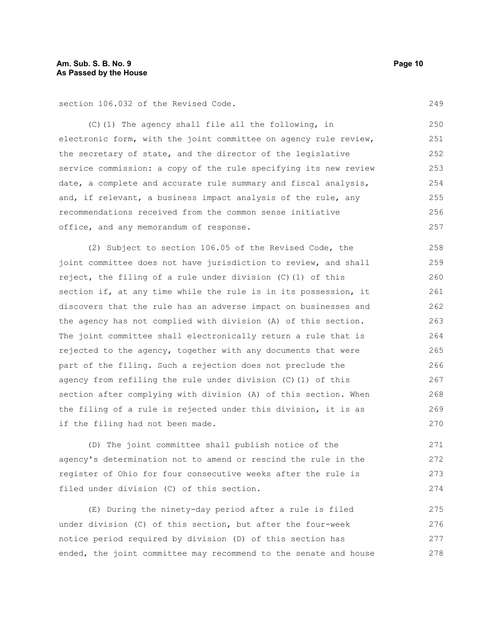section 106.032 of the Revised Code.

(C)(1) The agency shall file all the following, in electronic form, with the joint committee on agency rule review, the secretary of state, and the director of the legislative service commission: a copy of the rule specifying its new review date, a complete and accurate rule summary and fiscal analysis, and, if relevant, a business impact analysis of the rule, any recommendations received from the common sense initiative office, and any memorandum of response. 250 251 252 253 254 255 256 257

(2) Subject to section 106.05 of the Revised Code, the joint committee does not have jurisdiction to review, and shall reject, the filing of a rule under division (C)(1) of this section if, at any time while the rule is in its possession, it discovers that the rule has an adverse impact on businesses and the agency has not complied with division (A) of this section. The joint committee shall electronically return a rule that is rejected to the agency, together with any documents that were part of the filing. Such a rejection does not preclude the agency from refiling the rule under division (C)(1) of this section after complying with division (A) of this section. When the filing of a rule is rejected under this division, it is as if the filing had not been made. 258 259 260 261 262 263 264 265 266 267 268 269 270

(D) The joint committee shall publish notice of the agency's determination not to amend or rescind the rule in the register of Ohio for four consecutive weeks after the rule is filed under division (C) of this section.

(E) During the ninety-day period after a rule is filed under division (C) of this section, but after the four-week notice period required by division (D) of this section has ended, the joint committee may recommend to the senate and house 275 276 277 278

249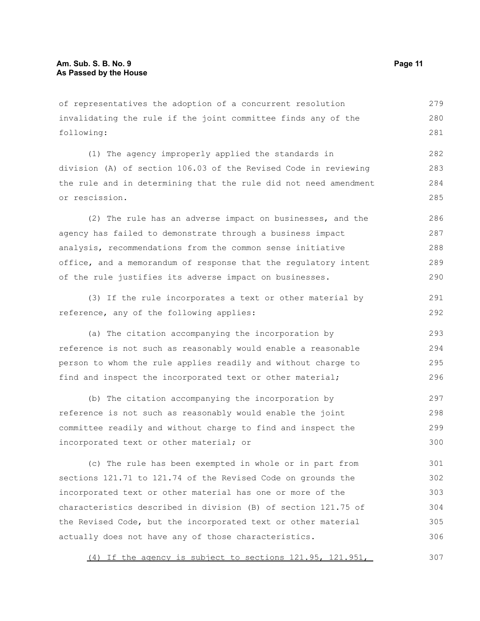of representatives the adoption of a concurrent resolution invalidating the rule if the joint committee finds any of the following: 279 280 281

(1) The agency improperly applied the standards in division (A) of section 106.03 of the Revised Code in reviewing the rule and in determining that the rule did not need amendment or rescission. 282 283 284 285

(2) The rule has an adverse impact on businesses, and the agency has failed to demonstrate through a business impact analysis, recommendations from the common sense initiative office, and a memorandum of response that the regulatory intent of the rule justifies its adverse impact on businesses. 286 287 288 289 290

(3) If the rule incorporates a text or other material by reference, any of the following applies: 291 292

(a) The citation accompanying the incorporation by reference is not such as reasonably would enable a reasonable person to whom the rule applies readily and without charge to find and inspect the incorporated text or other material; 293 294 295 296

(b) The citation accompanying the incorporation by reference is not such as reasonably would enable the joint committee readily and without charge to find and inspect the incorporated text or other material; or 297 298 299 300

(c) The rule has been exempted in whole or in part from sections 121.71 to 121.74 of the Revised Code on grounds the incorporated text or other material has one or more of the characteristics described in division (B) of section 121.75 of the Revised Code, but the incorporated text or other material actually does not have any of those characteristics. 301 302 303 304 305 306

(4) If the agency is subject to sections 121.95, 121.951, 307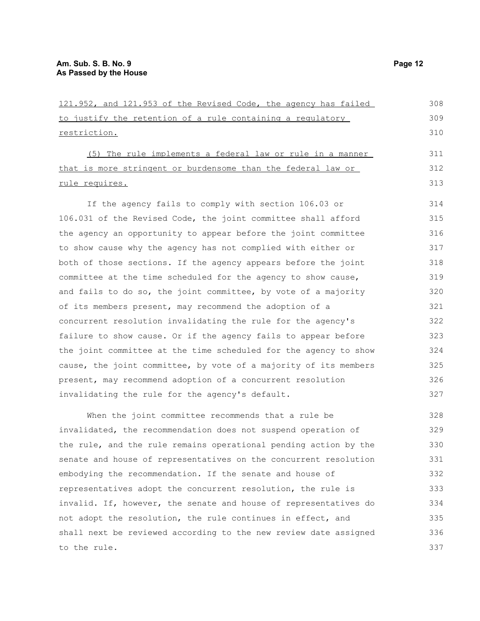to the rule.

| 308<br>121.952, and 121.953 of the Revised Code, the agency has failed  |
|-------------------------------------------------------------------------|
| 309<br>to justify the retention of a rule containing a regulatory       |
| 310<br>restriction.                                                     |
| 311<br>(5) The rule implements a federal law or rule in a manner        |
| that is more stringent or burdensome than the federal law or<br>312     |
| 313<br>rule requires.                                                   |
| If the agency fails to comply with section 106.03 or<br>314             |
| 106.031 of the Revised Code, the joint committee shall afford<br>315    |
| the agency an opportunity to appear before the joint committee<br>316   |
| 317                                                                     |
| to show cause why the agency has not complied with either or            |
| both of those sections. If the agency appears before the joint<br>318   |
| 319<br>committee at the time scheduled for the agency to show cause,    |
| and fails to do so, the joint committee, by vote of a majority<br>320   |
| of its members present, may recommend the adoption of a<br>321          |
| concurrent resolution invalidating the rule for the agency's<br>322     |
| failure to show cause. Or if the agency fails to appear before<br>323   |
| the joint committee at the time scheduled for the agency to show<br>324 |
| cause, the joint committee, by vote of a majority of its members<br>325 |
| 326<br>present, may recommend adoption of a concurrent resolution       |
| invalidating the rule for the agency's default.<br>327                  |
| 328<br>When the joint committee recommends that a rule be               |
| invalidated, the recommendation does not suspend operation of<br>329    |
| the rule, and the rule remains operational pending action by the<br>330 |
| senate and house of representatives on the concurrent resolution<br>331 |
| 332<br>embodying the recommendation. If the senate and house of         |
| representatives adopt the concurrent resolution, the rule is<br>333     |
| invalid. If, however, the senate and house of representatives do<br>334 |
| not adopt the resolution, the rule continues in effect, and<br>335      |
| shall next be reviewed according to the new review date assigned<br>336 |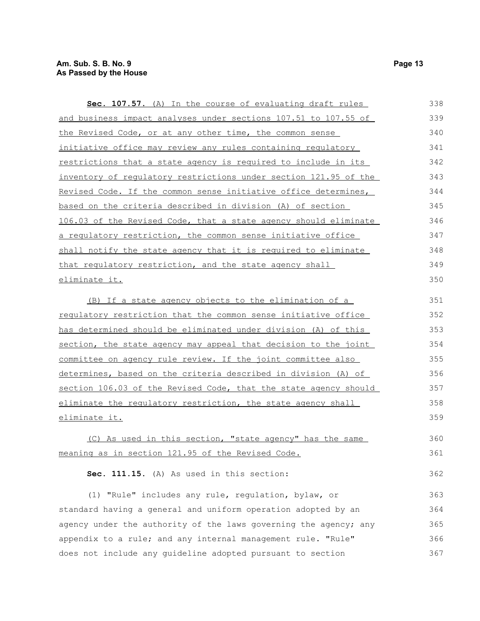| Sec. 107.57. (A) In the course of evaluating draft rules         | 338 |
|------------------------------------------------------------------|-----|
| and business impact analyses under sections 107.51 to 107.55 of  | 339 |
| the Revised Code, or at any other time, the common sense         | 340 |
| initiative office may review any rules containing regulatory     | 341 |
| restrictions that a state agency is required to include in its   | 342 |
| inventory of regulatory restrictions under section 121.95 of the | 343 |
| Revised Code. If the common sense initiative office determines,  | 344 |
| based on the criteria described in division (A) of section       | 345 |
| 106.03 of the Revised Code, that a state agency should eliminate | 346 |
| a regulatory restriction, the common sense initiative office     | 347 |
| shall notify the state agency that it is required to eliminate   | 348 |
| that regulatory restriction, and the state agency shall          | 349 |
| eliminate it.                                                    | 350 |
| (B) If a state agency objects to the elimination of a            | 351 |
| requlatory restriction that the common sense initiative office   | 352 |
| has determined should be eliminated under division (A) of this   | 353 |
| section, the state agency may appeal that decision to the joint  | 354 |
| committee on agency rule review. If the joint committee also     | 355 |
| determines, based on the criteria described in division (A) of   | 356 |
| section 106.03 of the Revised Code, that the state agency should | 357 |
| eliminate the regulatory restriction, the state agency shall     | 358 |
| eliminate it.                                                    | 359 |
| (C) As used in this section, "state agency" has the same         | 360 |
| meaning as in section 121.95 of the Revised Code.                | 361 |
|                                                                  |     |
| Sec. 111.15. (A) As used in this section:                        | 362 |
|                                                                  |     |

(1) "Rule" includes any rule, regulation, bylaw, or standard having a general and uniform operation adopted by an agency under the authority of the laws governing the agency; any appendix to a rule; and any internal management rule. "Rule" does not include any guideline adopted pursuant to section 363 364 365 366 367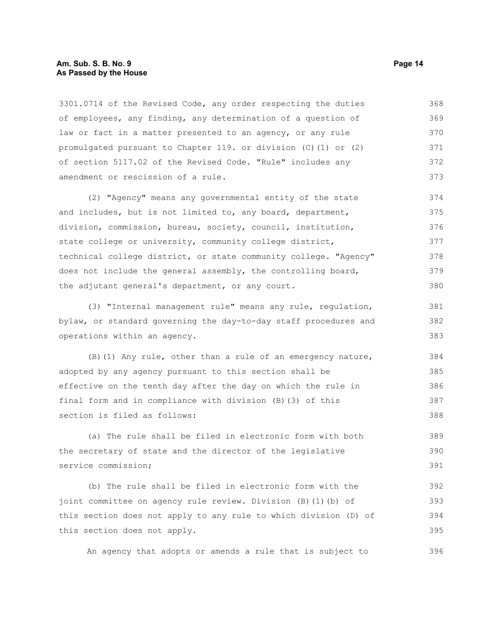#### **Am. Sub. S. B. No. 9 Page 14 As Passed by the House**

3301.0714 of the Revised Code, any order respecting the duties of employees, any finding, any determination of a question of law or fact in a matter presented to an agency, or any rule promulgated pursuant to Chapter 119. or division (C)(1) or (2) of section 5117.02 of the Revised Code. "Rule" includes any amendment or rescission of a rule. 368 369 370 371 372 373

(2) "Agency" means any governmental entity of the state and includes, but is not limited to, any board, department, division, commission, bureau, society, council, institution, state college or university, community college district, technical college district, or state community college. "Agency" does not include the general assembly, the controlling board, the adjutant general's department, or any court. 374 375 376 377 378 379 380

(3) "Internal management rule" means any rule, regulation, bylaw, or standard governing the day-to-day staff procedures and operations within an agency.

(B)(1) Any rule, other than a rule of an emergency nature, adopted by any agency pursuant to this section shall be effective on the tenth day after the day on which the rule in final form and in compliance with division (B)(3) of this section is filed as follows: 384 385 386 387 388

(a) The rule shall be filed in electronic form with both the secretary of state and the director of the legislative service commission; 389 390 391

(b) The rule shall be filed in electronic form with the joint committee on agency rule review. Division (B)(1)(b) of this section does not apply to any rule to which division (D) of this section does not apply. 392 393 394 395

An agency that adopts or amends a rule that is subject to 396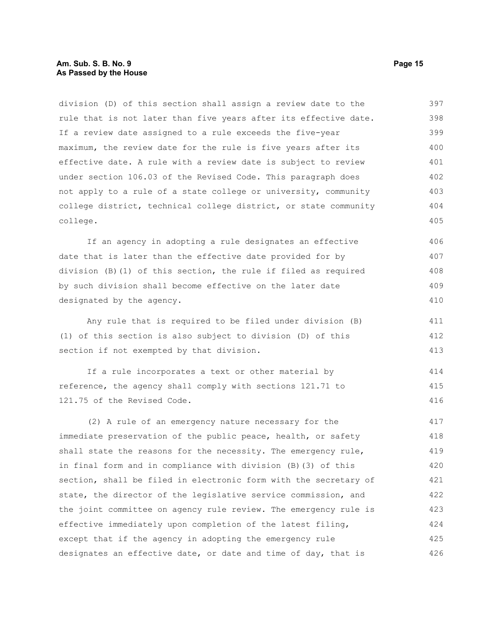#### **Am. Sub. S. B. No. 9 Page 15 As Passed by the House**

division (D) of this section shall assign a review date to the rule that is not later than five years after its effective date. If a review date assigned to a rule exceeds the five-year maximum, the review date for the rule is five years after its effective date. A rule with a review date is subject to review under section 106.03 of the Revised Code. This paragraph does not apply to a rule of a state college or university, community college district, technical college district, or state community college. 397 398 399 400 401 402 403 404 405

If an agency in adopting a rule designates an effective date that is later than the effective date provided for by division (B)(1) of this section, the rule if filed as required by such division shall become effective on the later date designated by the agency. 406 407 408 409 410

Any rule that is required to be filed under division (B) (1) of this section is also subject to division (D) of this section if not exempted by that division.

If a rule incorporates a text or other material by reference, the agency shall comply with sections 121.71 to 121.75 of the Revised Code. 414 415 416

(2) A rule of an emergency nature necessary for the immediate preservation of the public peace, health, or safety shall state the reasons for the necessity. The emergency rule, in final form and in compliance with division (B)(3) of this section, shall be filed in electronic form with the secretary of state, the director of the legislative service commission, and the joint committee on agency rule review. The emergency rule is effective immediately upon completion of the latest filing, except that if the agency in adopting the emergency rule designates an effective date, or date and time of day, that is 417 418 419 420 421 422 423 424 425 426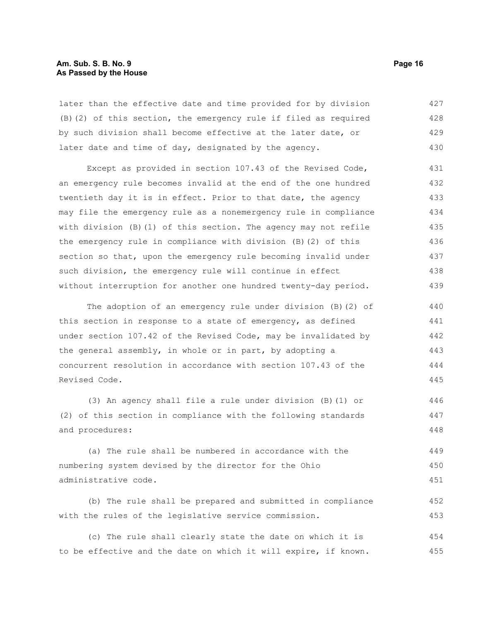#### **Am. Sub. S. B. No. 9 Page 16 As Passed by the House**

later than the effective date and time provided for by division (B)(2) of this section, the emergency rule if filed as required by such division shall become effective at the later date, or later date and time of day, designated by the agency. 427 428 429 430

Except as provided in section 107.43 of the Revised Code, an emergency rule becomes invalid at the end of the one hundred twentieth day it is in effect. Prior to that date, the agency may file the emergency rule as a nonemergency rule in compliance with division (B)(1) of this section. The agency may not refile the emergency rule in compliance with division (B)(2) of this section so that, upon the emergency rule becoming invalid under such division, the emergency rule will continue in effect without interruption for another one hundred twenty-day period. 431 432 433 434 435 436 437 438 439

The adoption of an emergency rule under division (B)(2) of this section in response to a state of emergency, as defined under section 107.42 of the Revised Code, may be invalidated by the general assembly, in whole or in part, by adopting a concurrent resolution in accordance with section 107.43 of the Revised Code. 440 441 442 443 444 445

(3) An agency shall file a rule under division (B)(1) or (2) of this section in compliance with the following standards and procedures: 446 447 448

(a) The rule shall be numbered in accordance with the numbering system devised by the director for the Ohio administrative code. 449 450 451

(b) The rule shall be prepared and submitted in compliance with the rules of the legislative service commission. 452 453

(c) The rule shall clearly state the date on which it is to be effective and the date on which it will expire, if known. 454 455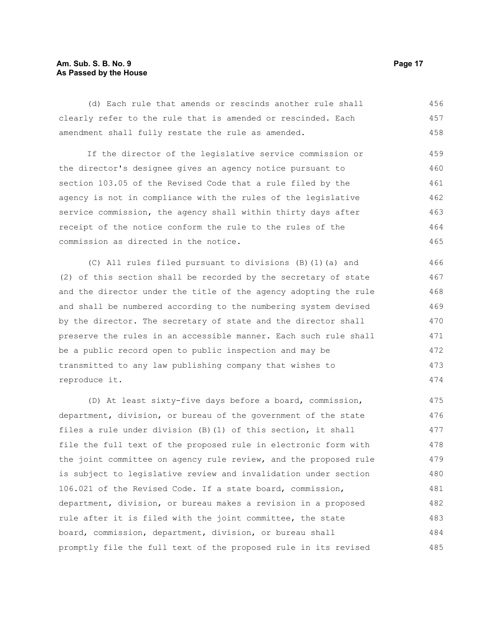#### **Am. Sub. S. B. No. 9 Page 17 As Passed by the House**

(d) Each rule that amends or rescinds another rule shall clearly refer to the rule that is amended or rescinded. Each amendment shall fully restate the rule as amended. 456 457 458

If the director of the legislative service commission or the director's designee gives an agency notice pursuant to section 103.05 of the Revised Code that a rule filed by the agency is not in compliance with the rules of the legislative service commission, the agency shall within thirty days after receipt of the notice conform the rule to the rules of the commission as directed in the notice. 459 460 461 462 463 464 465

(C) All rules filed pursuant to divisions (B)(1)(a) and (2) of this section shall be recorded by the secretary of state and the director under the title of the agency adopting the rule and shall be numbered according to the numbering system devised by the director. The secretary of state and the director shall preserve the rules in an accessible manner. Each such rule shall be a public record open to public inspection and may be transmitted to any law publishing company that wishes to reproduce it. 466 467 468 470

(D) At least sixty-five days before a board, commission, department, division, or bureau of the government of the state files a rule under division (B)(1) of this section, it shall file the full text of the proposed rule in electronic form with the joint committee on agency rule review, and the proposed rule is subject to legislative review and invalidation under section 106.021 of the Revised Code. If a state board, commission, department, division, or bureau makes a revision in a proposed rule after it is filed with the joint committee, the state board, commission, department, division, or bureau shall promptly file the full text of the proposed rule in its revised 475 476 477 478 479 480 481 482 483 484 485

469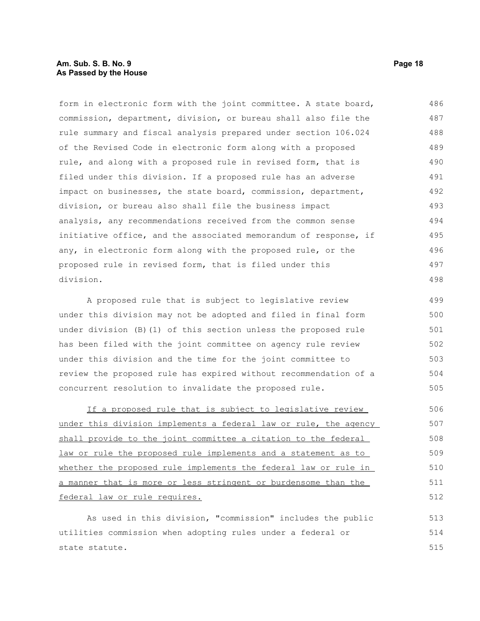#### **Am. Sub. S. B. No. 9 Page 18 As Passed by the House**

form in electronic form with the joint committee. A state board, commission, department, division, or bureau shall also file the rule summary and fiscal analysis prepared under section 106.024 of the Revised Code in electronic form along with a proposed rule, and along with a proposed rule in revised form, that is filed under this division. If a proposed rule has an adverse impact on businesses, the state board, commission, department, division, or bureau also shall file the business impact analysis, any recommendations received from the common sense initiative office, and the associated memorandum of response, if any, in electronic form along with the proposed rule, or the proposed rule in revised form, that is filed under this division. 486 487 488 489 490 491 492 493 494 495 496 497 498

A proposed rule that is subject to legislative review under this division may not be adopted and filed in final form under division (B)(1) of this section unless the proposed rule has been filed with the joint committee on agency rule review under this division and the time for the joint committee to review the proposed rule has expired without recommendation of a concurrent resolution to invalidate the proposed rule. 499 500 501 502 503 504 505

If a proposed rule that is subject to legislative review under this division implements a federal law or rule, the agency shall provide to the joint committee a citation to the federal law or rule the proposed rule implements and a statement as to whether the proposed rule implements the federal law or rule in a manner that is more or less stringent or burdensome than the federal law or rule requires. 506 507 508 509 510 511 512

As used in this division, "commission" includes the public utilities commission when adopting rules under a federal or state statute. 513 514 515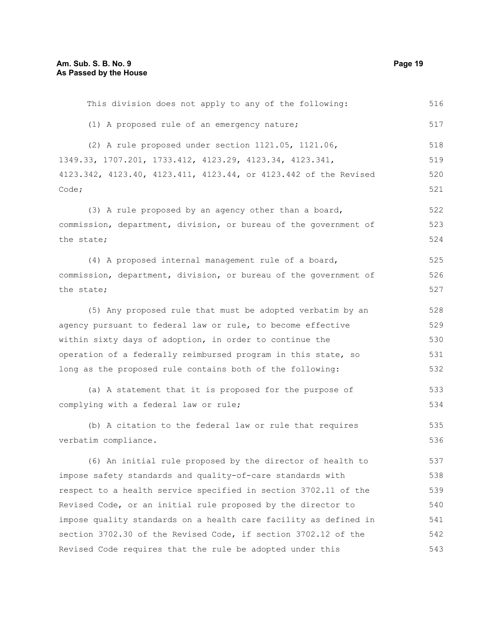| This division does not apply to any of the following:            | 516 |
|------------------------------------------------------------------|-----|
| (1) A proposed rule of an emergency nature;                      | 517 |
| (2) A rule proposed under section 1121.05, 1121.06,              | 518 |
| 1349.33, 1707.201, 1733.412, 4123.29, 4123.34, 4123.341,         | 519 |
| 4123.342, 4123.40, 4123.411, 4123.44, or 4123.442 of the Revised | 520 |
| Code;                                                            | 521 |
| (3) A rule proposed by an agency other than a board,             | 522 |
| commission, department, division, or bureau of the government of | 523 |
| the state;                                                       | 524 |
| (4) A proposed internal management rule of a board,              | 525 |
| commission, department, division, or bureau of the government of | 526 |
| the state;                                                       | 527 |
| (5) Any proposed rule that must be adopted verbatim by an        | 528 |
| agency pursuant to federal law or rule, to become effective      | 529 |
| within sixty days of adoption, in order to continue the          | 530 |
| operation of a federally reimbursed program in this state, so    | 531 |
| long as the proposed rule contains both of the following:        | 532 |
| (a) A statement that it is proposed for the purpose of           | 533 |
| complying with a federal law or rule;                            | 534 |
| (b) A citation to the federal law or rule that requires          | 535 |
| verbatim compliance.                                             | 536 |
| (6) An initial rule proposed by the director of health to        | 537 |
| impose safety standards and quality-of-care standards with       | 538 |
| respect to a health service specified in section 3702.11 of the  | 539 |
| Revised Code, or an initial rule proposed by the director to     | 540 |
| impose quality standards on a health care facility as defined in | 541 |
| section 3702.30 of the Revised Code, if section 3702.12 of the   | 542 |
| Revised Code requires that the rule be adopted under this        | 543 |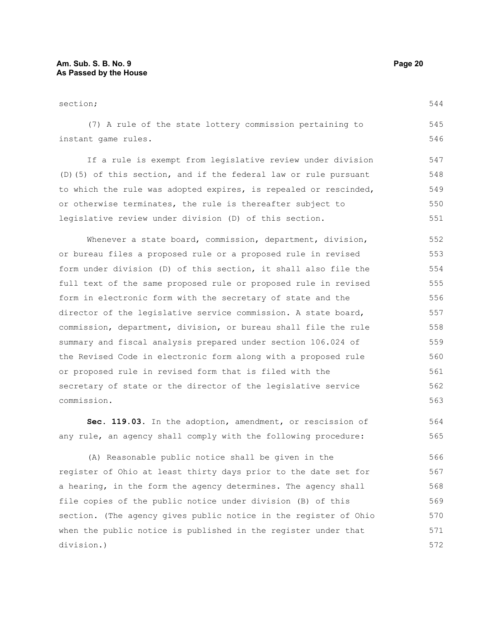section; (7) A rule of the state lottery commission pertaining to instant game rules. If a rule is exempt from legislative review under division (D)(5) of this section, and if the federal law or rule pursuant to which the rule was adopted expires, is repealed or rescinded, or otherwise terminates, the rule is thereafter subject to legislative review under division (D) of this section. Whenever a state board, commission, department, division, or bureau files a proposed rule or a proposed rule in revised form under division (D) of this section, it shall also file the full text of the same proposed rule or proposed rule in revised form in electronic form with the secretary of state and the director of the legislative service commission. A state board, commission, department, division, or bureau shall file the rule summary and fiscal analysis prepared under section 106.024 of the Revised Code in electronic form along with a proposed rule or proposed rule in revised form that is filed with the secretary of state or the director of the legislative service commission. 544 545 546 547 548 549 550 551 552 553 554 555 556 557 558 559 560 561 562 563

**Sec. 119.03.** In the adoption, amendment, or rescission of any rule, an agency shall comply with the following procedure: 564 565

(A) Reasonable public notice shall be given in the register of Ohio at least thirty days prior to the date set for a hearing, in the form the agency determines. The agency shall file copies of the public notice under division (B) of this section. (The agency gives public notice in the register of Ohio when the public notice is published in the register under that division.) 566 567 568 569 570 571 572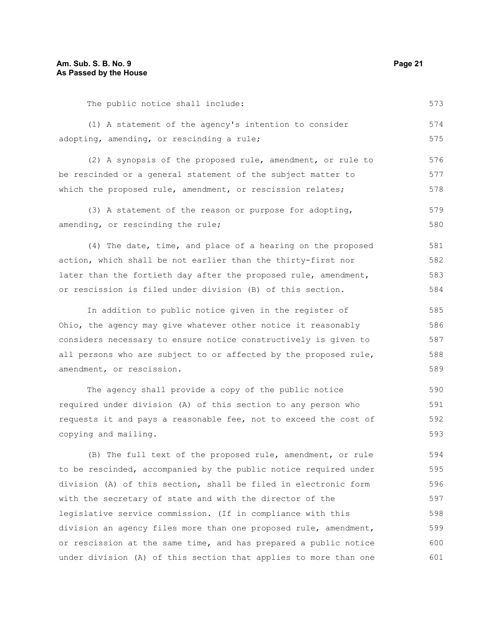The public notice shall include:

| (1) A statement of the agency's intention to consider            | 574 |
|------------------------------------------------------------------|-----|
| adopting, amending, or rescinding a rule;                        | 575 |
| (2) A synopsis of the proposed rule, amendment, or rule to       | 576 |
| be rescinded or a general statement of the subject matter to     | 577 |
| which the proposed rule, amendment, or rescission relates;       | 578 |
| (3) A statement of the reason or purpose for adopting,           | 579 |
| amending, or rescinding the rule;                                | 580 |
| (4) The date, time, and place of a hearing on the proposed       | 581 |
| action, which shall be not earlier than the thirty-first nor     | 582 |
| later than the fortieth day after the proposed rule, amendment,  | 583 |
| or rescission is filed under division (B) of this section.       | 584 |
| In addition to public notice given in the register of            | 585 |
| Ohio, the agency may give whatever other notice it reasonably    | 586 |
| considers necessary to ensure notice constructively is given to  | 587 |
| all persons who are subject to or affected by the proposed rule, | 588 |
| amendment, or rescission.                                        | 589 |
|                                                                  |     |

The agency shall provide a copy of the public notice required under division (A) of this section to any person who requests it and pays a reasonable fee, not to exceed the cost of copying and mailing. 590 591 592 593

(B) The full text of the proposed rule, amendment, or rule to be rescinded, accompanied by the public notice required under division (A) of this section, shall be filed in electronic form with the secretary of state and with the director of the legislative service commission. (If in compliance with this division an agency files more than one proposed rule, amendment, or rescission at the same time, and has prepared a public notice under division (A) of this section that applies to more than one 594 595 596 597 598 599 600 601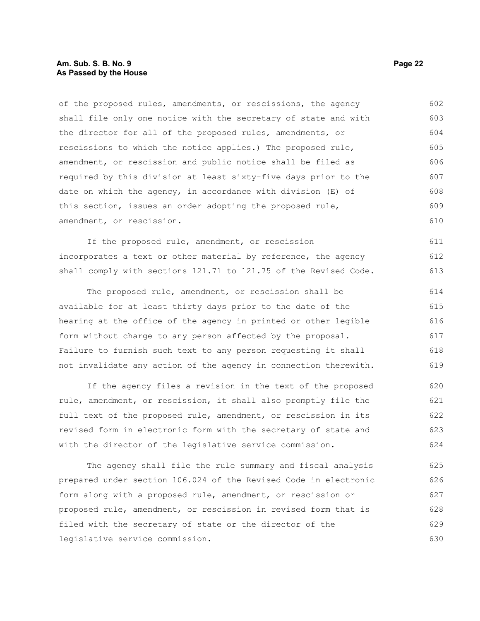#### **Am. Sub. S. B. No. 9 Page 22 As Passed by the House**

of the proposed rules, amendments, or rescissions, the agency shall file only one notice with the secretary of state and with the director for all of the proposed rules, amendments, or rescissions to which the notice applies.) The proposed rule, amendment, or rescission and public notice shall be filed as required by this division at least sixty-five days prior to the date on which the agency, in accordance with division (E) of this section, issues an order adopting the proposed rule, amendment, or rescission. 602 603 604 605 606 607 608 609 610

If the proposed rule, amendment, or rescission incorporates a text or other material by reference, the agency shall comply with sections 121.71 to 121.75 of the Revised Code. 611 612 613

The proposed rule, amendment, or rescission shall be available for at least thirty days prior to the date of the hearing at the office of the agency in printed or other legible form without charge to any person affected by the proposal. Failure to furnish such text to any person requesting it shall not invalidate any action of the agency in connection therewith. 614 615 616 617 618 619

If the agency files a revision in the text of the proposed rule, amendment, or rescission, it shall also promptly file the full text of the proposed rule, amendment, or rescission in its revised form in electronic form with the secretary of state and with the director of the legislative service commission. 620 621 622 623 624

The agency shall file the rule summary and fiscal analysis prepared under section 106.024 of the Revised Code in electronic form along with a proposed rule, amendment, or rescission or proposed rule, amendment, or rescission in revised form that is filed with the secretary of state or the director of the legislative service commission. 625 626 627 628 629 630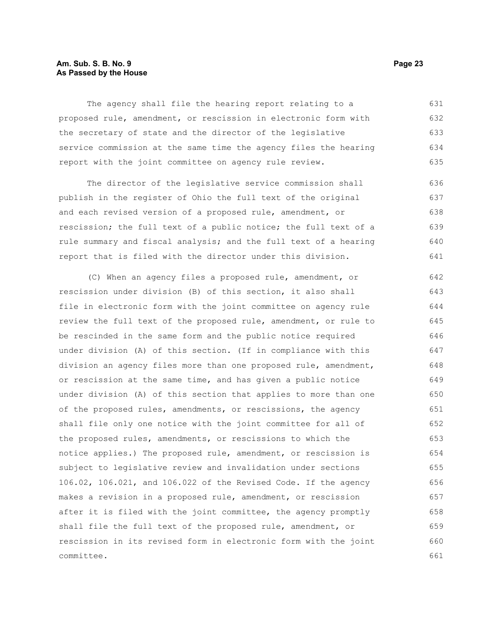#### **Am. Sub. S. B. No. 9 Page 23 As Passed by the House**

The agency shall file the hearing report relating to a proposed rule, amendment, or rescission in electronic form with the secretary of state and the director of the legislative service commission at the same time the agency files the hearing report with the joint committee on agency rule review. 631 632 633 634 635

The director of the legislative service commission shall publish in the register of Ohio the full text of the original and each revised version of a proposed rule, amendment, or rescission; the full text of a public notice; the full text of a rule summary and fiscal analysis; and the full text of a hearing report that is filed with the director under this division. 636 637 638 639 640 641

(C) When an agency files a proposed rule, amendment, or rescission under division (B) of this section, it also shall file in electronic form with the joint committee on agency rule review the full text of the proposed rule, amendment, or rule to be rescinded in the same form and the public notice required under division (A) of this section. (If in compliance with this division an agency files more than one proposed rule, amendment, or rescission at the same time, and has given a public notice under division (A) of this section that applies to more than one of the proposed rules, amendments, or rescissions, the agency shall file only one notice with the joint committee for all of the proposed rules, amendments, or rescissions to which the notice applies.) The proposed rule, amendment, or rescission is subject to legislative review and invalidation under sections 106.02, 106.021, and 106.022 of the Revised Code. If the agency makes a revision in a proposed rule, amendment, or rescission after it is filed with the joint committee, the agency promptly shall file the full text of the proposed rule, amendment, or rescission in its revised form in electronic form with the joint committee. 642 643 644 645 646 647 648 649 650 651 652 653 654 655 656 657 658 659 660 661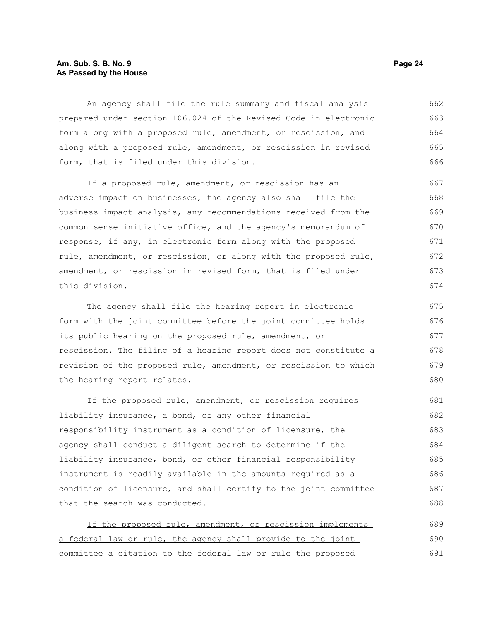#### **Am. Sub. S. B. No. 9 Page 24 As Passed by the House**

An agency shall file the rule summary and fiscal analysis prepared under section 106.024 of the Revised Code in electronic form along with a proposed rule, amendment, or rescission, and along with a proposed rule, amendment, or rescission in revised form, that is filed under this division. 662 663 664 665 666

If a proposed rule, amendment, or rescission has an adverse impact on businesses, the agency also shall file the business impact analysis, any recommendations received from the common sense initiative office, and the agency's memorandum of response, if any, in electronic form along with the proposed rule, amendment, or rescission, or along with the proposed rule, amendment, or rescission in revised form, that is filed under this division. 667 668 669 670 671 672 673 674

The agency shall file the hearing report in electronic form with the joint committee before the joint committee holds its public hearing on the proposed rule, amendment, or rescission. The filing of a hearing report does not constitute a revision of the proposed rule, amendment, or rescission to which the hearing report relates. 675 676 677 678 679 680

If the proposed rule, amendment, or rescission requires liability insurance, a bond, or any other financial responsibility instrument as a condition of licensure, the agency shall conduct a diligent search to determine if the liability insurance, bond, or other financial responsibility instrument is readily available in the amounts required as a condition of licensure, and shall certify to the joint committee that the search was conducted. 681 682 683 684 685 686 687 688

| If the proposed rule, amendment, or rescission implements    | 689 |
|--------------------------------------------------------------|-----|
| a federal law or rule, the agency shall provide to the joint | 690 |
| committee a citation to the federal law or rule the proposed | 691 |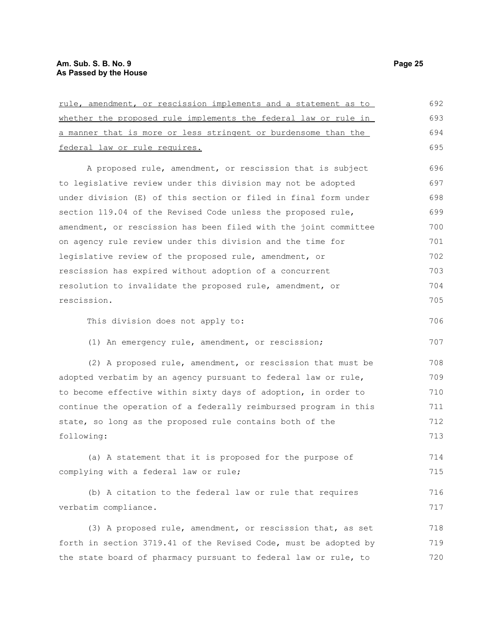### **Am. Sub. S. B. No. 9 Page 25 As Passed by the House**

| rule, amendment, or rescission implements and a statement as to  | 692 |
|------------------------------------------------------------------|-----|
| whether the proposed rule implements the federal law or rule in  | 693 |
| a manner that is more or less stringent or burdensome than the   | 694 |
| federal law or rule requires.                                    | 695 |
| A proposed rule, amendment, or rescission that is subject        | 696 |
| to legislative review under this division may not be adopted     | 697 |
| under division (E) of this section or filed in final form under  | 698 |
| section 119.04 of the Revised Code unless the proposed rule,     | 699 |
| amendment, or rescission has been filed with the joint committee | 700 |
| on agency rule review under this division and the time for       | 701 |
| legislative review of the proposed rule, amendment, or           | 702 |
| rescission has expired without adoption of a concurrent          | 703 |
| resolution to invalidate the proposed rule, amendment, or        | 704 |
| rescission.                                                      | 705 |
| This division does not apply to:                                 | 706 |
| (1) An emergency rule, amendment, or rescission;                 | 707 |
| (2) A proposed rule, amendment, or rescission that must be       | 708 |
| adopted verbatim by an agency pursuant to federal law or rule,   | 709 |
| to become effective within sixty days of adoption, in order to   | 710 |
| continue the operation of a federally reimbursed program in this | 711 |
| state, so long as the proposed rule contains both of the         | 712 |
| following:                                                       | 713 |
| (a) A statement that it is proposed for the purpose of           | 714 |
| complying with a federal law or rule;                            | 715 |
| (b) A citation to the federal law or rule that requires          | 716 |
| verbatim compliance.                                             | 717 |
| (3) A proposed rule, amendment, or rescission that, as set       | 718 |
| forth in section 3719.41 of the Revised Code, must be adopted by | 719 |
| the state board of pharmacy pursuant to federal law or rule, to  | 720 |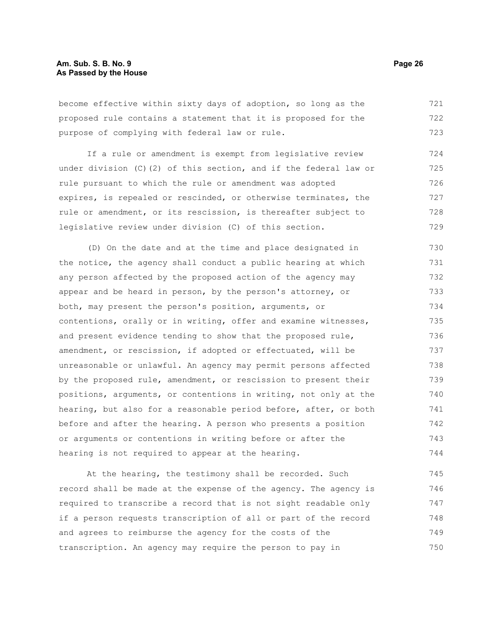#### **Am. Sub. S. B. No. 9 Page 26 As Passed by the House**

become effective within sixty days of adoption, so long as the proposed rule contains a statement that it is proposed for the purpose of complying with federal law or rule. 721 722 723

If a rule or amendment is exempt from legislative review under division (C)(2) of this section, and if the federal law or rule pursuant to which the rule or amendment was adopted expires, is repealed or rescinded, or otherwise terminates, the rule or amendment, or its rescission, is thereafter subject to legislative review under division (C) of this section. 724 725 726 727 728 729

(D) On the date and at the time and place designated in the notice, the agency shall conduct a public hearing at which any person affected by the proposed action of the agency may appear and be heard in person, by the person's attorney, or both, may present the person's position, arguments, or contentions, orally or in writing, offer and examine witnesses, and present evidence tending to show that the proposed rule, amendment, or rescission, if adopted or effectuated, will be unreasonable or unlawful. An agency may permit persons affected by the proposed rule, amendment, or rescission to present their positions, arguments, or contentions in writing, not only at the hearing, but also for a reasonable period before, after, or both before and after the hearing. A person who presents a position or arguments or contentions in writing before or after the hearing is not required to appear at the hearing. 730 731 732 733 734 735 736 737 738 739 740 741 742 743 744

At the hearing, the testimony shall be recorded. Such record shall be made at the expense of the agency. The agency is required to transcribe a record that is not sight readable only if a person requests transcription of all or part of the record and agrees to reimburse the agency for the costs of the transcription. An agency may require the person to pay in 745 746 747 748 749 750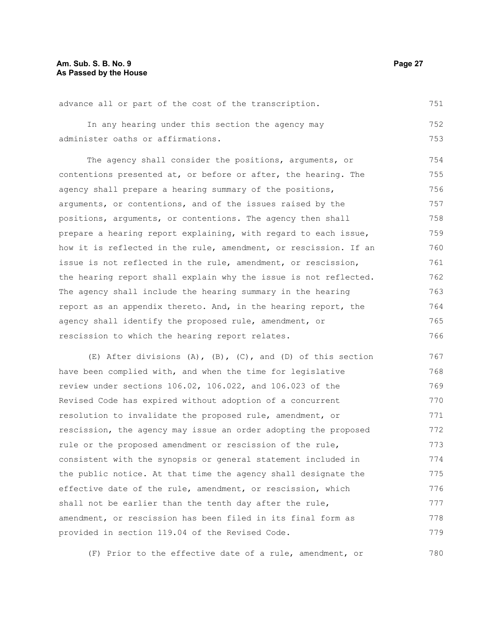advance all or part of the cost of the transcription. 751

In any hearing under this section the agency may administer oaths or affirmations. 752 753

The agency shall consider the positions, arguments, or contentions presented at, or before or after, the hearing. The agency shall prepare a hearing summary of the positions, arguments, or contentions, and of the issues raised by the positions, arguments, or contentions. The agency then shall prepare a hearing report explaining, with regard to each issue, how it is reflected in the rule, amendment, or rescission. If an issue is not reflected in the rule, amendment, or rescission, the hearing report shall explain why the issue is not reflected. The agency shall include the hearing summary in the hearing report as an appendix thereto. And, in the hearing report, the agency shall identify the proposed rule, amendment, or rescission to which the hearing report relates. 754 755 756 757 758 759 760 761 762 763 764 765 766

(E) After divisions  $(A)$ ,  $(B)$ ,  $(C)$ , and  $(D)$  of this section have been complied with, and when the time for legislative review under sections 106.02, 106.022, and 106.023 of the Revised Code has expired without adoption of a concurrent resolution to invalidate the proposed rule, amendment, or rescission, the agency may issue an order adopting the proposed rule or the proposed amendment or rescission of the rule, consistent with the synopsis or general statement included in the public notice. At that time the agency shall designate the effective date of the rule, amendment, or rescission, which shall not be earlier than the tenth day after the rule, amendment, or rescission has been filed in its final form as provided in section 119.04 of the Revised Code. 767 768 769 770 771 772 773 774 775 776 777 778 779

(F) Prior to the effective date of a rule, amendment, or 780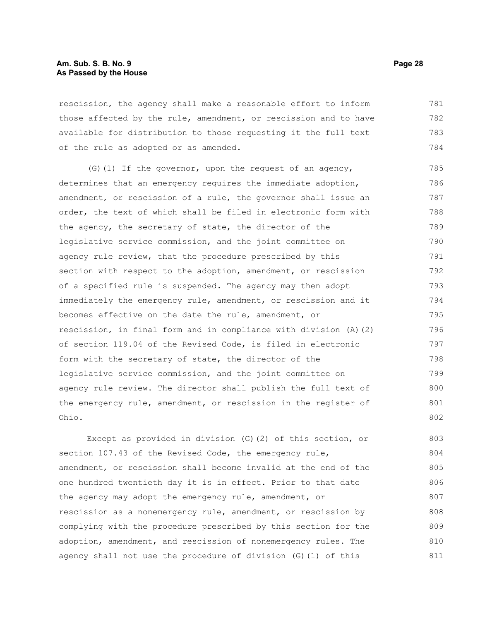#### **Am. Sub. S. B. No. 9 Page 28 As Passed by the House**

rescission, the agency shall make a reasonable effort to inform those affected by the rule, amendment, or rescission and to have available for distribution to those requesting it the full text of the rule as adopted or as amended. 781 782 783 784

(G)(1) If the governor, upon the request of an agency, determines that an emergency requires the immediate adoption, amendment, or rescission of a rule, the governor shall issue an order, the text of which shall be filed in electronic form with the agency, the secretary of state, the director of the legislative service commission, and the joint committee on agency rule review, that the procedure prescribed by this section with respect to the adoption, amendment, or rescission of a specified rule is suspended. The agency may then adopt immediately the emergency rule, amendment, or rescission and it becomes effective on the date the rule, amendment, or rescission, in final form and in compliance with division (A)(2) of section 119.04 of the Revised Code, is filed in electronic form with the secretary of state, the director of the legislative service commission, and the joint committee on agency rule review. The director shall publish the full text of the emergency rule, amendment, or rescission in the register of Ohio. 785 786 787 788 789 790 791 792 793 794 795 796 797 798 799 800 801 802

Except as provided in division (G)(2) of this section, or section 107.43 of the Revised Code, the emergency rule, amendment, or rescission shall become invalid at the end of the one hundred twentieth day it is in effect. Prior to that date the agency may adopt the emergency rule, amendment, or rescission as a nonemergency rule, amendment, or rescission by complying with the procedure prescribed by this section for the adoption, amendment, and rescission of nonemergency rules. The agency shall not use the procedure of division (G)(1) of this 803 804 805 806 807 808 809 810 811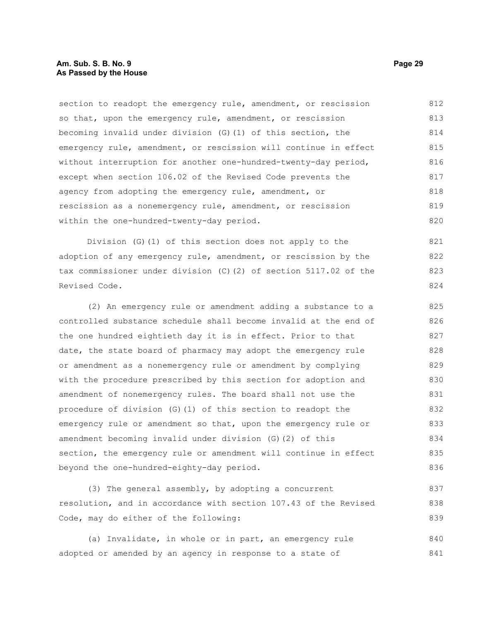#### **Am. Sub. S. B. No. 9 Page 29 As Passed by the House**

section to readopt the emergency rule, amendment, or rescission so that, upon the emergency rule, amendment, or rescission becoming invalid under division (G)(1) of this section, the emergency rule, amendment, or rescission will continue in effect without interruption for another one-hundred-twenty-day period, except when section 106.02 of the Revised Code prevents the agency from adopting the emergency rule, amendment, or rescission as a nonemergency rule, amendment, or rescission within the one-hundred-twenty-day period. 812 813 814 815 816 817 818 819 820

Division (G)(1) of this section does not apply to the adoption of any emergency rule, amendment, or rescission by the tax commissioner under division (C)(2) of section 5117.02 of the Revised Code.

(2) An emergency rule or amendment adding a substance to a controlled substance schedule shall become invalid at the end of the one hundred eightieth day it is in effect. Prior to that date, the state board of pharmacy may adopt the emergency rule or amendment as a nonemergency rule or amendment by complying with the procedure prescribed by this section for adoption and amendment of nonemergency rules. The board shall not use the procedure of division (G)(1) of this section to readopt the emergency rule or amendment so that, upon the emergency rule or amendment becoming invalid under division (G)(2) of this section, the emergency rule or amendment will continue in effect beyond the one-hundred-eighty-day period. 825 826 827 828 829 830 831 832 833 834 835 836

(3) The general assembly, by adopting a concurrent resolution, and in accordance with section 107.43 of the Revised Code, may do either of the following: 837 838 839

(a) Invalidate, in whole or in part, an emergency rule adopted or amended by an agency in response to a state of 840 841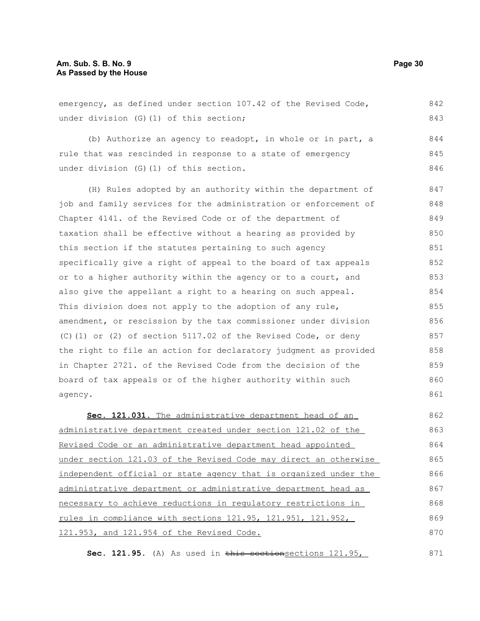#### **Am. Sub. S. B. No. 9 Page 30 As Passed by the House**

emergency, as defined under section 107.42 of the Revised Code, under division (G)(1) of this section; 842 843

(b) Authorize an agency to readopt, in whole or in part, a rule that was rescinded in response to a state of emergency under division (G)(1) of this section. 844 845 846

(H) Rules adopted by an authority within the department of job and family services for the administration or enforcement of Chapter 4141. of the Revised Code or of the department of taxation shall be effective without a hearing as provided by this section if the statutes pertaining to such agency specifically give a right of appeal to the board of tax appeals or to a higher authority within the agency or to a court, and also give the appellant a right to a hearing on such appeal. This division does not apply to the adoption of any rule, amendment, or rescission by the tax commissioner under division (C)(1) or (2) of section 5117.02 of the Revised Code, or deny the right to file an action for declaratory judgment as provided in Chapter 2721. of the Revised Code from the decision of the board of tax appeals or of the higher authority within such agency. 847 848 849 850 851 852 853 854 855 856 857 858 859 860 861

 **Sec. 121.031.** The administrative department head of an administrative department created under section 121.02 of the Revised Code or an administrative department head appointed under section 121.03 of the Revised Code may direct an otherwise independent official or state agency that is organized under the administrative department or administrative department head as necessary to achieve reductions in regulatory restrictions in rules in compliance with sections 121.95, 121.951, 121.952, 121.953, and 121.954 of the Revised Code. 862 863 864 865 866 867 868 869 870

Sec. 121.95. (A) As used in this sectionsections 121.95, 871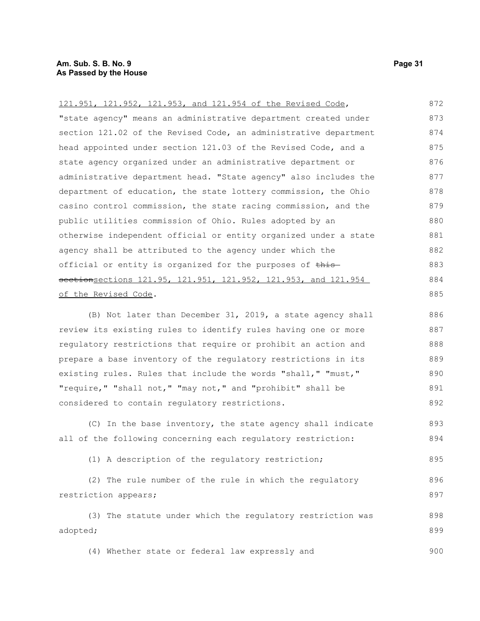#### **Am. Sub. S. B. No. 9 Page 31 As Passed by the House**

121.951, 121.952, 121.953, and 121.954 of the Revised Code, "state agency" means an administrative department created under section 121.02 of the Revised Code, an administrative department head appointed under section 121.03 of the Revised Code, and a state agency organized under an administrative department or administrative department head. "State agency" also includes the department of education, the state lottery commission, the Ohio casino control commission, the state racing commission, and the public utilities commission of Ohio. Rules adopted by an otherwise independent official or entity organized under a state agency shall be attributed to the agency under which the official or entity is organized for the purposes of this sectionsections 121.95, 121.951, 121.952, 121.953, and 121.954 of the Revised Code. 872 873 874 875 876 877 878 879 880 881 882 883 884 885

(B) Not later than December 31, 2019, a state agency shall review its existing rules to identify rules having one or more regulatory restrictions that require or prohibit an action and prepare a base inventory of the regulatory restrictions in its existing rules. Rules that include the words "shall," "must," "require," "shall not," "may not," and "prohibit" shall be considered to contain regulatory restrictions. 886 887 888 889 890 891 892

(C) In the base inventory, the state agency shall indicate all of the following concerning each regulatory restriction: 893 894

(1) A description of the regulatory restriction; 895

(2) The rule number of the rule in which the regulatory restriction appears; 896 897

(3) The statute under which the regulatory restriction was adopted; 898 899

(4) Whether state or federal law expressly and 900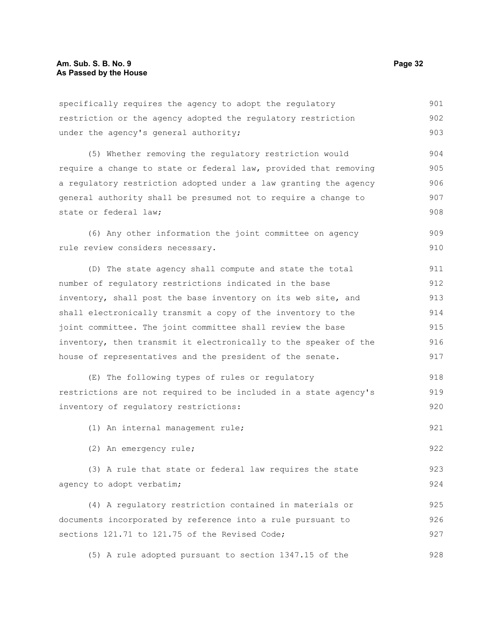specifically requires the agency to adopt the regulatory restriction or the agency adopted the regulatory restriction under the agency's general authority; 901 902 903

(5) Whether removing the regulatory restriction would require a change to state or federal law, provided that removing a regulatory restriction adopted under a law granting the agency general authority shall be presumed not to require a change to state or federal law; 904 905 906 907 908

(6) Any other information the joint committee on agency rule review considers necessary. 909 910

(D) The state agency shall compute and state the total number of regulatory restrictions indicated in the base inventory, shall post the base inventory on its web site, and shall electronically transmit a copy of the inventory to the joint committee. The joint committee shall review the base inventory, then transmit it electronically to the speaker of the house of representatives and the president of the senate. 911 912 913 914 915 916 917

(E) The following types of rules or regulatory restrictions are not required to be included in a state agency's inventory of regulatory restrictions: 918 919 920

(1) An internal management rule;

(2) An emergency rule;

(3) A rule that state or federal law requires the state agency to adopt verbatim; 923 924

(4) A regulatory restriction contained in materials or documents incorporated by reference into a rule pursuant to sections 121.71 to 121.75 of the Revised Code; 925 926 927

(5) A rule adopted pursuant to section 1347.15 of the 928

921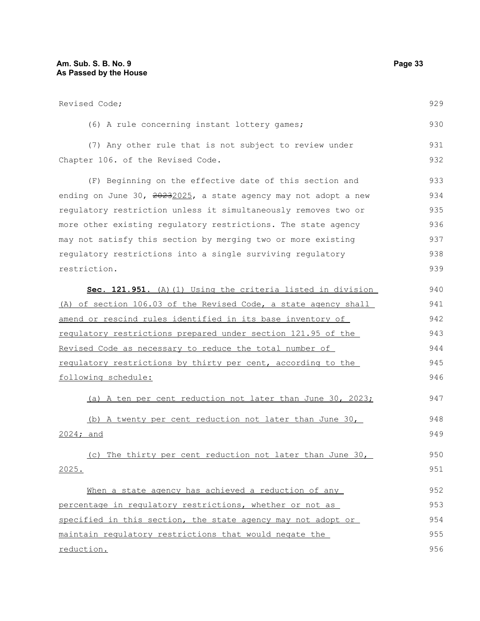| Revised Code;                                                   | 929 |
|-----------------------------------------------------------------|-----|
| (6) A rule concerning instant lottery games;                    | 930 |
| (7) Any other rule that is not subject to review under          | 931 |
| Chapter 106. of the Revised Code.                               | 932 |
| (F) Beginning on the effective date of this section and         | 933 |
| ending on June 30, 20232025, a state agency may not adopt a new | 934 |
| requlatory restriction unless it simultaneously removes two or  | 935 |
| more other existing regulatory restrictions. The state agency   | 936 |
| may not satisfy this section by merging two or more existing    | 937 |
| regulatory restrictions into a single surviving regulatory      | 938 |
| restriction.                                                    | 939 |
| Sec. 121.951. (A) (1) Using the criteria listed in division     | 940 |
| (A) of section 106.03 of the Revised Code, a state agency shall | 941 |
| amend or rescind rules identified in its base inventory of      | 942 |
| requlatory restrictions prepared under section 121.95 of the    | 943 |
| Revised Code as necessary to reduce the total number of         | 944 |
| regulatory restrictions by thirty per cent, according to the    | 945 |
| following schedule:                                             | 946 |
| (a) A ten per cent reduction not later than June 30, 2023;      | 947 |
| (b) A twenty per cent reduction not later than June 30,         | 948 |
| 2024; and                                                       | 949 |
| (c) The thirty per cent reduction not later than June 30,       | 950 |
| 2025.                                                           | 951 |
| When a state agency has achieved a reduction of any             | 952 |

percentage in regulatory restrictions, whether or not as specified in this section, the state agency may not adopt or maintain regulatory restrictions that would negate the reduction. 953 954 955 956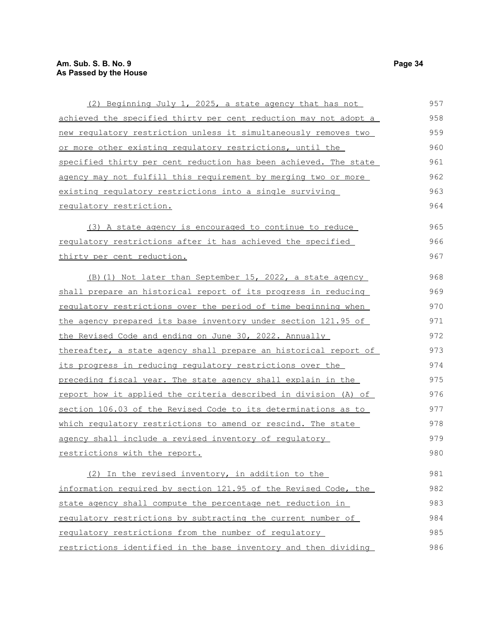| (2) Beginning July 1, 2025, a state agency that has not                 | 957 |  |  |  |
|-------------------------------------------------------------------------|-----|--|--|--|
| <u>achieved the specified thirty per cent reduction may not adopt a</u> | 958 |  |  |  |
| new requlatory restriction unless it simultaneously removes two         | 959 |  |  |  |
| <u>or more other existing regulatory restrictions, until the</u>        | 960 |  |  |  |
| specified thirty per cent reduction has been achieved. The state        | 961 |  |  |  |
| agency may not fulfill this requirement by merging two or more          | 962 |  |  |  |
| existing regulatory restrictions into a single surviving                | 963 |  |  |  |
| requlatory restriction.                                                 | 964 |  |  |  |
| (3) A state agency is encouraged to continue to reduce                  | 965 |  |  |  |
| requlatory restrictions after it has achieved the specified             | 966 |  |  |  |
| thirty per cent reduction.                                              | 967 |  |  |  |
| (B) (1) Not later than September 15, 2022, a state agency               | 968 |  |  |  |
| shall prepare an historical report of its progress in reducing          | 969 |  |  |  |
| regulatory restrictions over the period of time beginning when          | 970 |  |  |  |
| the agency prepared its base inventory under section 121.95 of          |     |  |  |  |
| the Revised Code and ending on June 30, 2022. Annually                  | 972 |  |  |  |
| thereafter, a state agency shall prepare an historical report of        | 973 |  |  |  |
| its progress in reducing regulatory restrictions over the               | 974 |  |  |  |
| preceding fiscal year. The state agency shall explain in the            | 975 |  |  |  |
| report how it applied the criteria described in division (A) of         | 976 |  |  |  |
| section 106.03 of the Revised Code to its determinations as to          | 977 |  |  |  |
| which regulatory restrictions to amend or rescind. The state            | 978 |  |  |  |
| agency shall include a revised inventory of regulatory                  | 979 |  |  |  |
| restrictions with the report.                                           | 980 |  |  |  |
| (2) In the revised inventory, in addition to the                        | 981 |  |  |  |
| information required by section 121.95 of the Revised Code, the         | 982 |  |  |  |
| state agency shall compute the percentage net reduction in              | 983 |  |  |  |
| requiatory restrictions by subtracting the current number of            | 984 |  |  |  |
| regulatory restrictions from the number of regulatory                   | 985 |  |  |  |
| restrictions identified in the base inventory and then dividing         | 986 |  |  |  |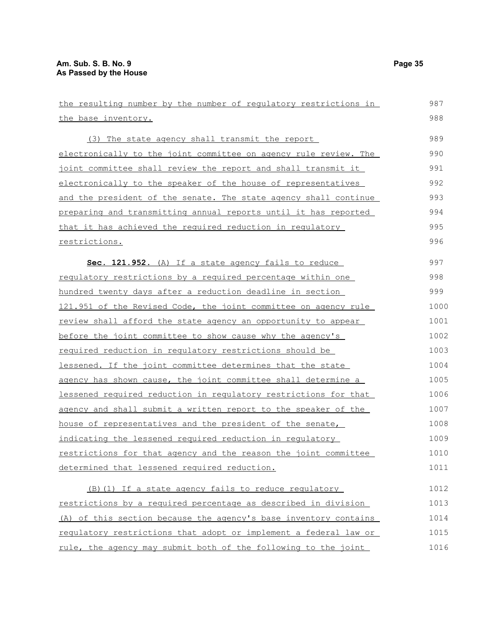| the resulting number by the number of regulatory restrictions in | 987  |  |  |  |
|------------------------------------------------------------------|------|--|--|--|
| the base inventory.                                              | 988  |  |  |  |
| (3) The state agency shall transmit the report                   | 989  |  |  |  |
| electronically to the joint committee on agency rule review. The | 990  |  |  |  |
| joint committee shall review the report and shall transmit it    | 991  |  |  |  |
| electronically to the speaker of the house of representatives    | 992  |  |  |  |
| and the president of the senate. The state agency shall continue | 993  |  |  |  |
| preparing and transmitting annual reports until it has reported  | 994  |  |  |  |
| that it has achieved the required reduction in requlatory        | 995  |  |  |  |
| restrictions.                                                    | 996  |  |  |  |
| Sec. 121.952. (A) If a state agency fails to reduce              | 997  |  |  |  |
| requiatory restrictions by a required percentage within one      | 998  |  |  |  |
| hundred twenty days after a reduction deadline in section        | 999  |  |  |  |
| 121.951 of the Revised Code, the joint committee on agency rule  | 1000 |  |  |  |
| review shall afford the state agency an opportunity to appear    |      |  |  |  |
| before the joint committee to show cause why the agency's        |      |  |  |  |
| required reduction in requlatory restrictions should be          | 1003 |  |  |  |
| lessened. If the joint committee determines that the state       | 1004 |  |  |  |
| agency has shown cause, the joint committee shall determine a    | 1005 |  |  |  |
| lessened required reduction in requlatory restrictions for that  | 1006 |  |  |  |
| agency and shall submit a written report to the speaker of the   | 1007 |  |  |  |
| house of representatives and the president of the senate,        | 1008 |  |  |  |
| indicating the lessened required reduction in regulatory         | 1009 |  |  |  |
| restrictions for that agency and the reason the joint committee  | 1010 |  |  |  |
| determined that lessened required reduction.                     | 1011 |  |  |  |
| (B) (1) If a state agency fails to reduce regulatory             | 1012 |  |  |  |
| restrictions by a required percentage as described in division   | 1013 |  |  |  |
| (A) of this section because the agency's base inventory contains | 1014 |  |  |  |
| requiatory restrictions that adopt or implement a federal law or | 1015 |  |  |  |
| rule, the agency may submit both of the following to the joint   | 1016 |  |  |  |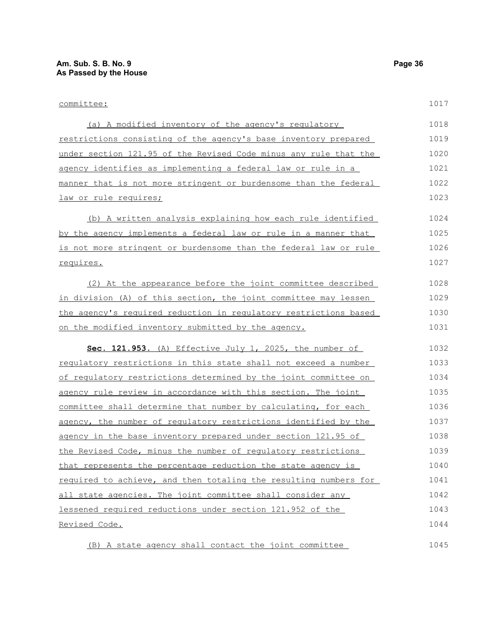| committee:                                                       |      |  |  |  |
|------------------------------------------------------------------|------|--|--|--|
| (a) A modified inventory of the agency's regulatory              | 1018 |  |  |  |
| restrictions consisting of the agency's base inventory prepared  |      |  |  |  |
| under section 121.95 of the Revised Code minus any rule that the |      |  |  |  |
| agency identifies as implementing a federal law or rule in a     | 1021 |  |  |  |
| manner that is not more stringent or burdensome than the federal |      |  |  |  |
| law or rule requires;                                            | 1023 |  |  |  |
| (b) A written analysis explaining how each rule identified       | 1024 |  |  |  |
| by the agency implements a federal law or rule in a manner that  | 1025 |  |  |  |
| is not more stringent or burdensome than the federal law or rule | 1026 |  |  |  |
| requires.                                                        | 1027 |  |  |  |
| (2) At the appearance before the joint committee described       | 1028 |  |  |  |
| in division (A) of this section, the joint committee may lessen  | 1029 |  |  |  |
| the agency's required reduction in requlatory restrictions based |      |  |  |  |
| on the modified inventory submitted by the agency.               |      |  |  |  |
| Sec. 121.953. (A) Effective July 1, 2025, the number of          | 1032 |  |  |  |
| requlatory restrictions in this state shall not exceed a number  | 1033 |  |  |  |
| of requlatory restrictions determined by the joint committee on  |      |  |  |  |
| agency rule review in accordance with this section. The joint    |      |  |  |  |
| committee shall determine that number by calculating, for each   | 1036 |  |  |  |
| agency, the number of regulatory restrictions identified by the  | 1037 |  |  |  |
| agency in the base inventory prepared under section 121.95 of    | 1038 |  |  |  |
| the Revised Code, minus the number of regulatory restrictions    | 1039 |  |  |  |
| that represents the percentage reduction the state agency is     | 1040 |  |  |  |
| required to achieve, and then totaling the resulting numbers for | 1041 |  |  |  |
| all state agencies. The joint committee shall consider any       | 1042 |  |  |  |
| lessened required reductions under section 121.952 of the        |      |  |  |  |
| Revised Code.                                                    | 1044 |  |  |  |
| (B) A state agency shall contact the joint committee             | 1045 |  |  |  |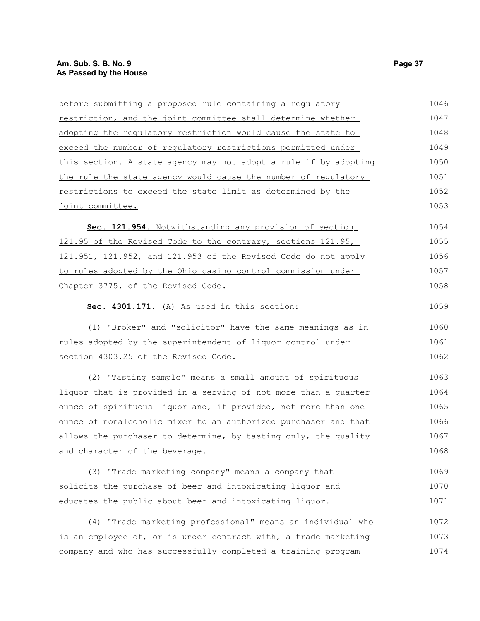| before submitting a proposed rule containing a regulatory        | 1046 |  |  |  |
|------------------------------------------------------------------|------|--|--|--|
| restriction, and the joint committee shall determine whether     | 1047 |  |  |  |
| adopting the regulatory restriction would cause the state to     | 1048 |  |  |  |
| exceed the number of regulatory restrictions permitted under     | 1049 |  |  |  |
| this section. A state agency may not adopt a rule if by adopting | 1050 |  |  |  |
| the rule the state agency would cause the number of regulatory   | 1051 |  |  |  |
| restrictions to exceed the state limit as determined by the      | 1052 |  |  |  |
| joint committee.                                                 | 1053 |  |  |  |
| Sec. 121.954. Notwithstanding any provision of section           | 1054 |  |  |  |
| 121.95 of the Revised Code to the contrary, sections 121.95,     | 1055 |  |  |  |
| 121.951, 121.952, and 121.953 of the Revised Code do not apply   | 1056 |  |  |  |
| to rules adopted by the Ohio casino control commission under     | 1057 |  |  |  |
| Chapter 3775. of the Revised Code.                               | 1058 |  |  |  |
| Sec. 4301.171. (A) As used in this section:                      | 1059 |  |  |  |
| (1) "Broker" and "solicitor" have the same meanings as in        | 1060 |  |  |  |
| rules adopted by the superintendent of liquor control under      |      |  |  |  |
| section 4303.25 of the Revised Code.                             | 1062 |  |  |  |
| (2) "Tasting sample" means a small amount of spirituous          | 1063 |  |  |  |
| liquor that is provided in a serving of not more than a quarter  | 1064 |  |  |  |
| ounce of spirituous liquor and, if provided, not more than one   | 1065 |  |  |  |
| ounce of nonalcoholic mixer to an authorized purchaser and that  | 1066 |  |  |  |
| allows the purchaser to determine, by tasting only, the quality  | 1067 |  |  |  |
| and character of the beverage.                                   | 1068 |  |  |  |
| (3) "Trade marketing company" means a company that               | 1069 |  |  |  |
| solicits the purchase of beer and intoxicating liquor and        | 1070 |  |  |  |

educates the public about beer and intoxicating liquor. (4) "Trade marketing professional" means an individual who 1071 1072

is an employee of, or is under contract with, a trade marketing company and who has successfully completed a training program 1073 1074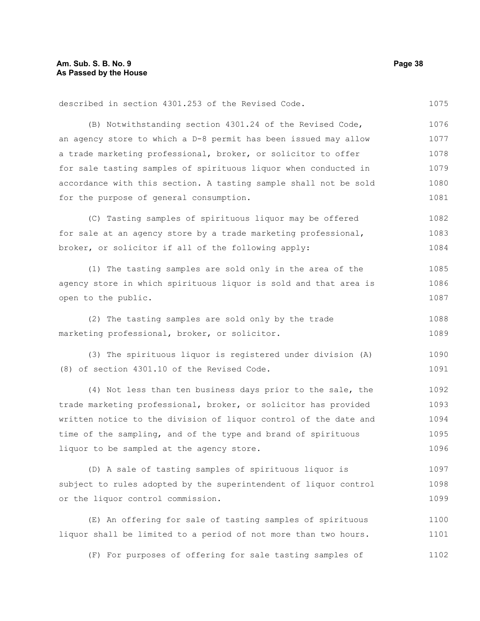described in section 4301.253 of the Revised Code. 1075

(B) Notwithstanding section 4301.24 of the Revised Code, an agency store to which a D-8 permit has been issued may allow a trade marketing professional, broker, or solicitor to offer for sale tasting samples of spirituous liquor when conducted in accordance with this section. A tasting sample shall not be sold for the purpose of general consumption. 1076 1077 1078 1079 1080 1081

(C) Tasting samples of spirituous liquor may be offered for sale at an agency store by a trade marketing professional, broker, or solicitor if all of the following apply: 1082 1083 1084

(1) The tasting samples are sold only in the area of the agency store in which spirituous liquor is sold and that area is open to the public. 1085 1086 1087

(2) The tasting samples are sold only by the trade marketing professional, broker, or solicitor. 1088 1089

(3) The spirituous liquor is registered under division (A) (8) of section 4301.10 of the Revised Code. 1090 1091

(4) Not less than ten business days prior to the sale, the trade marketing professional, broker, or solicitor has provided written notice to the division of liquor control of the date and time of the sampling, and of the type and brand of spirituous liquor to be sampled at the agency store. 1092 1093 1094 1095 1096

(D) A sale of tasting samples of spirituous liquor is subject to rules adopted by the superintendent of liquor control or the liquor control commission. 1097 1098 1099

(E) An offering for sale of tasting samples of spirituous liquor shall be limited to a period of not more than two hours. 1100 1101

(F) For purposes of offering for sale tasting samples of 1102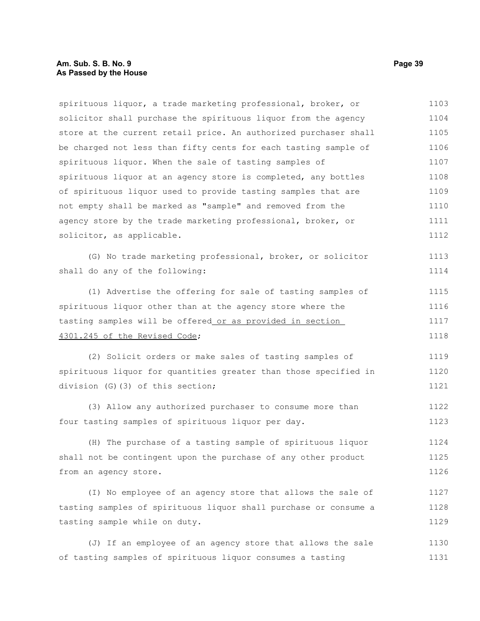#### **Am. Sub. S. B. No. 9 Page 39 As Passed by the House**

spirituous liquor, a trade marketing professional, broker, or solicitor shall purchase the spirituous liquor from the agency store at the current retail price. An authorized purchaser shall be charged not less than fifty cents for each tasting sample of spirituous liquor. When the sale of tasting samples of spirituous liquor at an agency store is completed, any bottles of spirituous liquor used to provide tasting samples that are not empty shall be marked as "sample" and removed from the agency store by the trade marketing professional, broker, or solicitor, as applicable. 1103 1104 1105 1106 1107 1108 1109 1110 1111 1112

(G) No trade marketing professional, broker, or solicitor shall do any of the following:

(1) Advertise the offering for sale of tasting samples of spirituous liquor other than at the agency store where the tasting samples will be offered or as provided in section 4301.245 of the Revised Code; 1115 1116 1117 1118

(2) Solicit orders or make sales of tasting samples of spirituous liquor for quantities greater than those specified in division (G)(3) of this section; 1119 1120 1121

(3) Allow any authorized purchaser to consume more than four tasting samples of spirituous liquor per day. 1122 1123

(H) The purchase of a tasting sample of spirituous liquor shall not be contingent upon the purchase of any other product from an agency store. 1124 1125 1126

(I) No employee of an agency store that allows the sale of tasting samples of spirituous liquor shall purchase or consume a tasting sample while on duty. 1127 1128 1129

(J) If an employee of an agency store that allows the sale of tasting samples of spirituous liquor consumes a tasting 1130 1131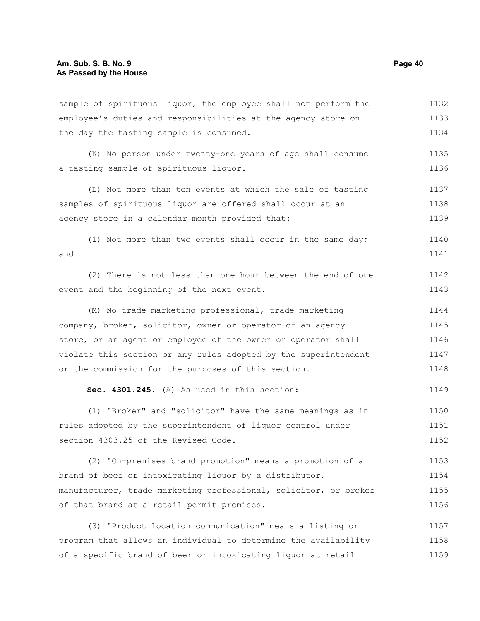| sample of spirituous liquor, the employee shall not perform the  | 1132 |  |  |  |
|------------------------------------------------------------------|------|--|--|--|
| employee's duties and responsibilities at the agency store on    |      |  |  |  |
| the day the tasting sample is consumed.                          | 1134 |  |  |  |
| (K) No person under twenty-one years of age shall consume        | 1135 |  |  |  |
| a tasting sample of spirituous liquor.                           | 1136 |  |  |  |
| (L) Not more than ten events at which the sale of tasting        | 1137 |  |  |  |
| samples of spirituous liquor are offered shall occur at an       | 1138 |  |  |  |
| agency store in a calendar month provided that:                  | 1139 |  |  |  |
| (1) Not more than two events shall occur in the same day;        | 1140 |  |  |  |
| and                                                              | 1141 |  |  |  |
| (2) There is not less than one hour between the end of one       | 1142 |  |  |  |
| event and the beginning of the next event.                       | 1143 |  |  |  |
| (M) No trade marketing professional, trade marketing             | 1144 |  |  |  |
| company, broker, solicitor, owner or operator of an agency       | 1145 |  |  |  |
| store, or an agent or employee of the owner or operator shall    |      |  |  |  |
| violate this section or any rules adopted by the superintendent  | 1147 |  |  |  |
| or the commission for the purposes of this section.              | 1148 |  |  |  |
| Sec. 4301.245. (A) As used in this section:                      | 1149 |  |  |  |
| (1) "Broker" and "solicitor" have the same meanings as in        | 1150 |  |  |  |
| rules adopted by the superintendent of liquor control under      | 1151 |  |  |  |
| section 4303.25 of the Revised Code.                             | 1152 |  |  |  |
| (2) "On-premises brand promotion" means a promotion of a         | 1153 |  |  |  |
| brand of beer or intoxicating liquor by a distributor,           | 1154 |  |  |  |
| manufacturer, trade marketing professional, solicitor, or broker | 1155 |  |  |  |
| of that brand at a retail permit premises.                       | 1156 |  |  |  |
| (3) "Product location communication" means a listing or          | 1157 |  |  |  |
| program that allows an individual to determine the availability  | 1158 |  |  |  |
| of a specific brand of beer or intoxicating liquor at retail     | 1159 |  |  |  |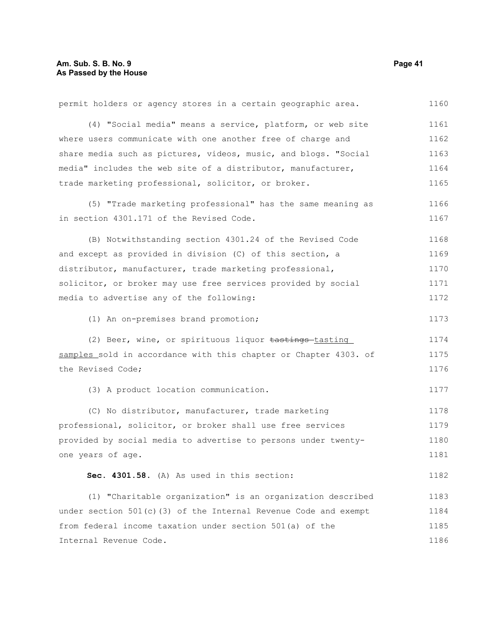| permit holders or agency stores in a certain geographic area.      | 1160 |
|--------------------------------------------------------------------|------|
| (4) "Social media" means a service, platform, or web site          | 1161 |
| where users communicate with one another free of charge and        | 1162 |
| share media such as pictures, videos, music, and blogs. "Social    | 1163 |
| media" includes the web site of a distributor, manufacturer,       | 1164 |
| trade marketing professional, solicitor, or broker.                | 1165 |
| (5) "Trade marketing professional" has the same meaning as         | 1166 |
| in section 4301.171 of the Revised Code.                           | 1167 |
| (B) Notwithstanding section 4301.24 of the Revised Code            | 1168 |
| and except as provided in division (C) of this section, a          | 1169 |
| distributor, manufacturer, trade marketing professional,           | 1170 |
| solicitor, or broker may use free services provided by social      | 1171 |
| media to advertise any of the following:                           | 1172 |
| (1) An on-premises brand promotion;                                | 1173 |
| (2) Beer, wine, or spirituous liquor tastings-tasting              | 1174 |
| samples sold in accordance with this chapter or Chapter 4303. of   | 1175 |
| the Revised Code;                                                  | 1176 |
| (3) A product location communication.                              | 1177 |
| (C) No distributor, manufacturer, trade marketing                  | 1178 |
| professional, solicitor, or broker shall use free services         | 1179 |
| provided by social media to advertise to persons under twenty-     | 1180 |
| one years of age.                                                  | 1181 |
| Sec. 4301.58. (A) As used in this section:                         | 1182 |
| (1) "Charitable organization" is an organization described         | 1183 |
| under section $501(c)$ (3) of the Internal Revenue Code and exempt | 1184 |
| from federal income taxation under section 501(a) of the           | 1185 |
| Internal Revenue Code.                                             | 1186 |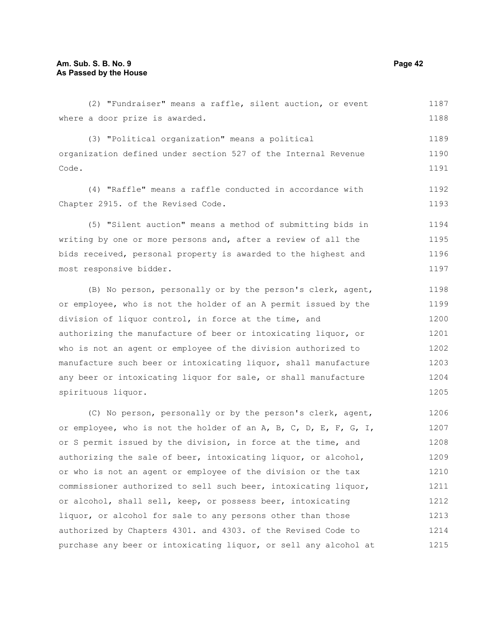(2) "Fundraiser" means a raffle, silent auction, or event where a door prize is awarded. (3) "Political organization" means a political organization defined under section 527 of the Internal Revenue Code. (4) "Raffle" means a raffle conducted in accordance with Chapter 2915. of the Revised Code. (5) "Silent auction" means a method of submitting bids in writing by one or more persons and, after a review of all the bids received, personal property is awarded to the highest and most responsive bidder. (B) No person, personally or by the person's clerk, agent, or employee, who is not the holder of an A permit issued by the division of liquor control, in force at the time, and authorizing the manufacture of beer or intoxicating liquor, or who is not an agent or employee of the division authorized to manufacture such beer or intoxicating liquor, shall manufacture any beer or intoxicating liquor for sale, or shall manufacture spirituous liquor. (C) No person, personally or by the person's clerk, agent, or employee, who is not the holder of an A, B, C, D, E, F, G, I, or S permit issued by the division, in force at the time, and authorizing the sale of beer, intoxicating liquor, or alcohol, 1187 1188 1189 1190 1191 1192 1193 1194 1195 1196 1197 1198 1199 1200 1201 1202 1203 1204 1205 1206 1207 1208 1209

or who is not an agent or employee of the division or the tax commissioner authorized to sell such beer, intoxicating liquor, or alcohol, shall sell, keep, or possess beer, intoxicating liquor, or alcohol for sale to any persons other than those authorized by Chapters 4301. and 4303. of the Revised Code to purchase any beer or intoxicating liquor, or sell any alcohol at 1210 1211 1212 1213 1214 1215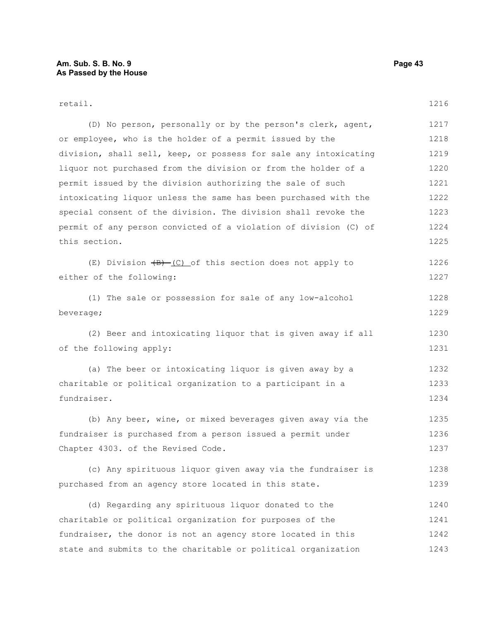#### retail. (D) No person, personally or by the person's clerk, agent, or employee, who is the holder of a permit issued by the division, shall sell, keep, or possess for sale any intoxicating liquor not purchased from the division or from the holder of a permit issued by the division authorizing the sale of such intoxicating liquor unless the same has been purchased with the special consent of the division. The division shall revoke the permit of any person convicted of a violation of division (C) of this section. (E) Division  $\left(\frac{B}{C}\right)$  of this section does not apply to either of the following: (1) The sale or possession for sale of any low-alcohol beverage; (2) Beer and intoxicating liquor that is given away if all of the following apply: (a) The beer or intoxicating liquor is given away by a charitable or political organization to a participant in a fundraiser. (b) Any beer, wine, or mixed beverages given away via the fundraiser is purchased from a person issued a permit under Chapter 4303. of the Revised Code. (c) Any spirituous liquor given away via the fundraiser is purchased from an agency store located in this state. (d) Regarding any spirituous liquor donated to the charitable or political organization for purposes of the fundraiser, the donor is not an agency store located in this state and submits to the charitable or political organization 1216 1217 1218 1219 1220 1221 1222 1223 1224 1225 1226 1227 1228 1229 1230 1231 1232 1233 1234 1235 1236 1237 1238 1239 1240 1241 1242 1243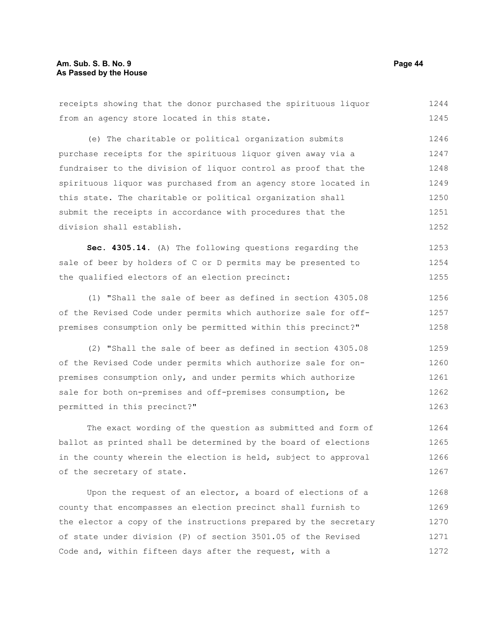receipts showing that the donor purchased the spirituous liquor from an agency store located in this state. (e) The charitable or political organization submits purchase receipts for the spirituous liquor given away via a fundraiser to the division of liquor control as proof that the

spirituous liquor was purchased from an agency store located in this state. The charitable or political organization shall submit the receipts in accordance with procedures that the division shall establish. 1249 1250 1251 1252

**Sec. 4305.14.** (A) The following questions regarding the sale of beer by holders of C or D permits may be presented to the qualified electors of an election precinct: 1253 1254 1255

(1) "Shall the sale of beer as defined in section 4305.08 of the Revised Code under permits which authorize sale for offpremises consumption only be permitted within this precinct?" 1256 1257 1258

(2) "Shall the sale of beer as defined in section 4305.08 of the Revised Code under permits which authorize sale for onpremises consumption only, and under permits which authorize sale for both on-premises and off-premises consumption, be permitted in this precinct?" 1259 1260 1261 1262 1263

The exact wording of the question as submitted and form of ballot as printed shall be determined by the board of elections in the county wherein the election is held, subject to approval of the secretary of state. 1264 1265 1266 1267

Upon the request of an elector, a board of elections of a county that encompasses an election precinct shall furnish to the elector a copy of the instructions prepared by the secretary of state under division (P) of section 3501.05 of the Revised Code and, within fifteen days after the request, with a 1268 1269 1270 1271 1272

1244 1245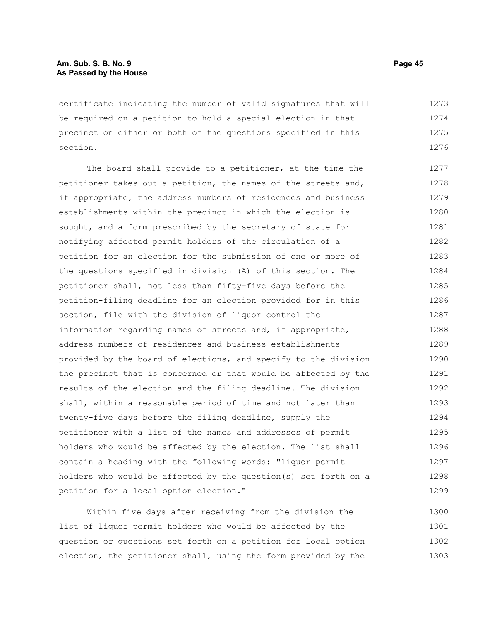certificate indicating the number of valid signatures that will be required on a petition to hold a special election in that precinct on either or both of the questions specified in this section. 1273 1274 1275 1276

The board shall provide to a petitioner, at the time the petitioner takes out a petition, the names of the streets and, if appropriate, the address numbers of residences and business establishments within the precinct in which the election is sought, and a form prescribed by the secretary of state for notifying affected permit holders of the circulation of a petition for an election for the submission of one or more of the questions specified in division (A) of this section. The petitioner shall, not less than fifty-five days before the petition-filing deadline for an election provided for in this section, file with the division of liquor control the information regarding names of streets and, if appropriate, address numbers of residences and business establishments provided by the board of elections, and specify to the division the precinct that is concerned or that would be affected by the results of the election and the filing deadline. The division shall, within a reasonable period of time and not later than twenty-five days before the filing deadline, supply the petitioner with a list of the names and addresses of permit holders who would be affected by the election. The list shall contain a heading with the following words: "liquor permit holders who would be affected by the question(s) set forth on a petition for a local option election." 1277 1278 1279 1280 1281 1282 1283 1284 1285 1286 1287 1288 1289 1290 1291 1292 1293 1294 1295 1296 1297 1298 1299

Within five days after receiving from the division the list of liquor permit holders who would be affected by the question or questions set forth on a petition for local option election, the petitioner shall, using the form provided by the 1300 1301 1302 1303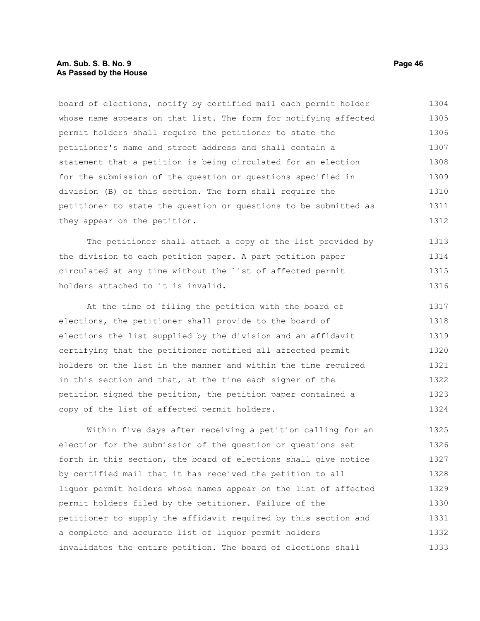#### **Am. Sub. S. B. No. 9 Page 46 As Passed by the House**

board of elections, notify by certified mail each permit holder whose name appears on that list. The form for notifying affected permit holders shall require the petitioner to state the petitioner's name and street address and shall contain a statement that a petition is being circulated for an election for the submission of the question or questions specified in division (B) of this section. The form shall require the petitioner to state the question or questions to be submitted as they appear on the petition. 1304 1305 1306 1307 1308 1309 1310 1311 1312

The petitioner shall attach a copy of the list provided by the division to each petition paper. A part petition paper circulated at any time without the list of affected permit holders attached to it is invalid. 1313 1314 1315 1316

At the time of filing the petition with the board of elections, the petitioner shall provide to the board of elections the list supplied by the division and an affidavit certifying that the petitioner notified all affected permit holders on the list in the manner and within the time required in this section and that, at the time each signer of the petition signed the petition, the petition paper contained a copy of the list of affected permit holders. 1317 1318 1319 1320 1321 1322 1323 1324

Within five days after receiving a petition calling for an election for the submission of the question or questions set forth in this section, the board of elections shall give notice by certified mail that it has received the petition to all liquor permit holders whose names appear on the list of affected permit holders filed by the petitioner. Failure of the petitioner to supply the affidavit required by this section and a complete and accurate list of liquor permit holders invalidates the entire petition. The board of elections shall 1325 1326 1327 1328 1329 1330 1331 1332 1333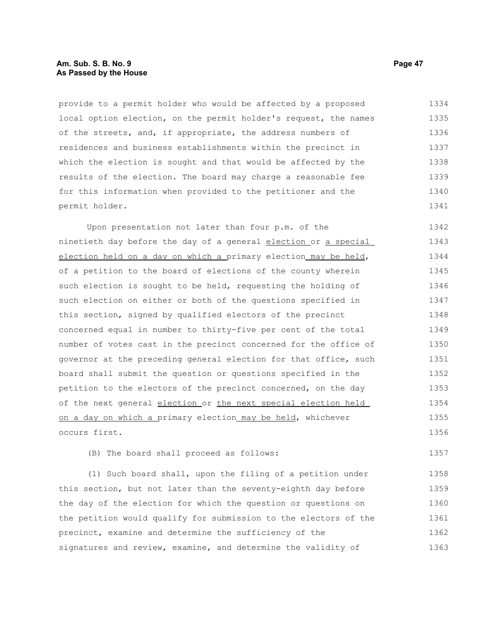#### **Am. Sub. S. B. No. 9 Page 47 As Passed by the House**

provide to a permit holder who would be affected by a proposed local option election, on the permit holder's request, the names of the streets, and, if appropriate, the address numbers of residences and business establishments within the precinct in which the election is sought and that would be affected by the results of the election. The board may charge a reasonable fee for this information when provided to the petitioner and the permit holder. 1334 1335 1336 1337 1338 1339 1340 1341

Upon presentation not later than four p.m. of the ninetieth day before the day of a general election or a special election held on a day on which a primary election may be held, of a petition to the board of elections of the county wherein such election is sought to be held, requesting the holding of such election on either or both of the questions specified in this section, signed by qualified electors of the precinct concerned equal in number to thirty-five per cent of the total number of votes cast in the precinct concerned for the office of governor at the preceding general election for that office, such board shall submit the question or questions specified in the petition to the electors of the precinct concerned, on the day of the next general election or the next special election held on a day on which a primary election may be held, whichever occurs first. 1342 1343 1344 1345 1346 1347 1348 1349 1350 1351 1352 1353 1354 1355 1356

(B) The board shall proceed as follows: 1357

(1) Such board shall, upon the filing of a petition under this section, but not later than the seventy-eighth day before the day of the election for which the question or questions on the petition would qualify for submission to the electors of the precinct, examine and determine the sufficiency of the signatures and review, examine, and determine the validity of 1358 1359 1360 1361 1362 1363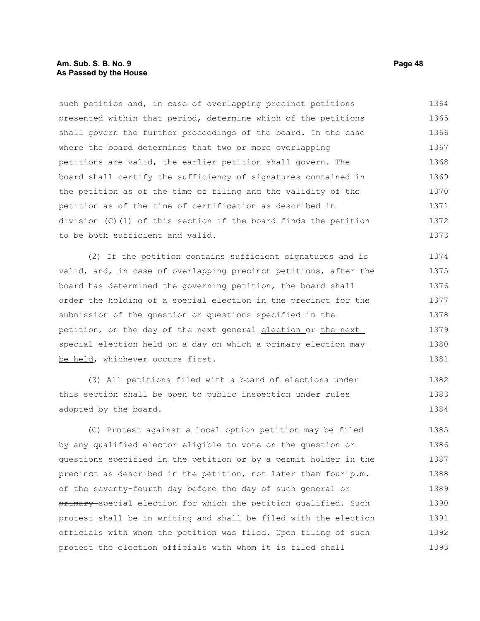#### **Am. Sub. S. B. No. 9 Page 48 As Passed by the House**

such petition and, in case of overlapping precinct petitions presented within that period, determine which of the petitions shall govern the further proceedings of the board. In the case where the board determines that two or more overlapping petitions are valid, the earlier petition shall govern. The board shall certify the sufficiency of signatures contained in the petition as of the time of filing and the validity of the petition as of the time of certification as described in division (C)(1) of this section if the board finds the petition to be both sufficient and valid. 1364 1365 1366 1367 1368 1369 1370 1371 1372 1373

(2) If the petition contains sufficient signatures and is valid, and, in case of overlapping precinct petitions, after the board has determined the governing petition, the board shall order the holding of a special election in the precinct for the submission of the question or questions specified in the petition, on the day of the next general election or the next special election held on a day on which a primary election\_may be held, whichever occurs first. 1374 1375 1376 1377 1378 1379 1380 1381

(3) All petitions filed with a board of elections under this section shall be open to public inspection under rules adopted by the board. 1382 1383 1384

(C) Protest against a local option petition may be filed by any qualified elector eligible to vote on the question or questions specified in the petition or by a permit holder in the precinct as described in the petition, not later than four p.m. of the seventy-fourth day before the day of such general or primary special election for which the petition qualified. Such protest shall be in writing and shall be filed with the election officials with whom the petition was filed. Upon filing of such protest the election officials with whom it is filed shall 1385 1386 1387 1388 1389 1390 1391 1392 1393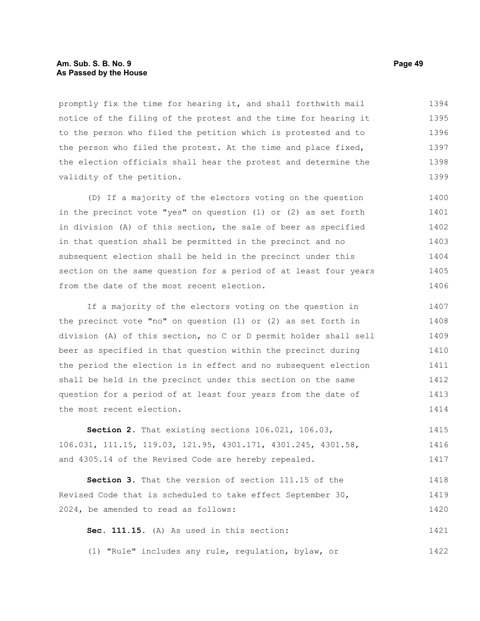#### **Am. Sub. S. B. No. 9 Page 49 As Passed by the House**

promptly fix the time for hearing it, and shall forthwith mail notice of the filing of the protest and the time for hearing it to the person who filed the petition which is protested and to the person who filed the protest. At the time and place fixed, the election officials shall hear the protest and determine the validity of the petition. 1394 1395 1396 1397 1398 1399

(D) If a majority of the electors voting on the question in the precinct vote "yes" on question (1) or (2) as set forth in division (A) of this section, the sale of beer as specified in that question shall be permitted in the precinct and no subsequent election shall be held in the precinct under this section on the same question for a period of at least four years from the date of the most recent election. 1400 1401 1402 1403 1404 1405 1406

If a majority of the electors voting on the question in the precinct vote "no" on question (1) or (2) as set forth in division (A) of this section, no C or D permit holder shall sell beer as specified in that question within the precinct during the period the election is in effect and no subsequent election shall be held in the precinct under this section on the same question for a period of at least four years from the date of the most recent election. 1407 1408 1409 1410 1411 1412 1413 1414

**Section 2.** That existing sections 106.021, 106.03, 106.031, 111.15, 119.03, 121.95, 4301.171, 4301.245, 4301.58, and 4305.14 of the Revised Code are hereby repealed. 1415 1416 1417

**Section 3.** That the version of section 111.15 of the Revised Code that is scheduled to take effect September 30, 2024, be amended to read as follows: 1418 1419 1420

**Sec. 111.15.** (A) As used in this section: 1421

(1) "Rule" includes any rule, regulation, bylaw, or 1422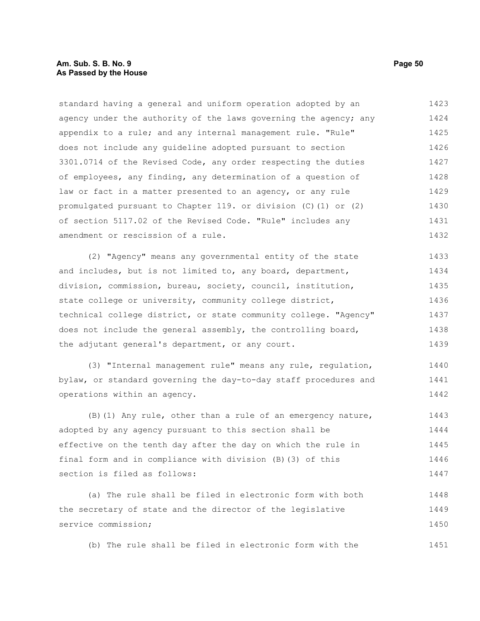#### **Am. Sub. S. B. No. 9 Page 50 As Passed by the House**

standard having a general and uniform operation adopted by an agency under the authority of the laws governing the agency; any appendix to a rule; and any internal management rule. "Rule" does not include any guideline adopted pursuant to section 3301.0714 of the Revised Code, any order respecting the duties of employees, any finding, any determination of a question of law or fact in a matter presented to an agency, or any rule promulgated pursuant to Chapter 119. or division (C)(1) or (2) of section 5117.02 of the Revised Code. "Rule" includes any amendment or rescission of a rule. 1423 1424 1425 1426 1427 1428 1429 1430 1431 1432

(2) "Agency" means any governmental entity of the state and includes, but is not limited to, any board, department, division, commission, bureau, society, council, institution, state college or university, community college district, technical college district, or state community college. "Agency" does not include the general assembly, the controlling board, the adjutant general's department, or any court. 1433 1434 1435 1436 1437 1438 1439

(3) "Internal management rule" means any rule, regulation, bylaw, or standard governing the day-to-day staff procedures and operations within an agency. 1440 1441 1442

(B)(1) Any rule, other than a rule of an emergency nature, adopted by any agency pursuant to this section shall be effective on the tenth day after the day on which the rule in final form and in compliance with division (B)(3) of this section is filed as follows: 1443 1444 1445 1446 1447

(a) The rule shall be filed in electronic form with both the secretary of state and the director of the legislative service commission; 1448 1449 1450

(b) The rule shall be filed in electronic form with the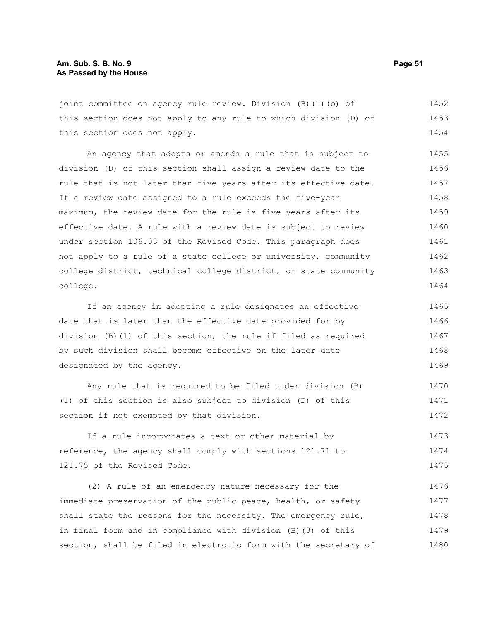joint committee on agency rule review. Division (B)(1)(b) of this section does not apply to any rule to which division (D) of this section does not apply. 1452 1453 1454

An agency that adopts or amends a rule that is subject to division (D) of this section shall assign a review date to the rule that is not later than five years after its effective date. If a review date assigned to a rule exceeds the five-year maximum, the review date for the rule is five years after its effective date. A rule with a review date is subject to review under section 106.03 of the Revised Code. This paragraph does not apply to a rule of a state college or university, community college district, technical college district, or state community college. 1455 1456 1457 1458 1459 1460 1461 1462 1463 1464

If an agency in adopting a rule designates an effective date that is later than the effective date provided for by division (B)(1) of this section, the rule if filed as required by such division shall become effective on the later date designated by the agency. 1465 1466 1467 1468 1469

Any rule that is required to be filed under division (B) (1) of this section is also subject to division (D) of this section if not exempted by that division. 1470 1471 1472

If a rule incorporates a text or other material by reference, the agency shall comply with sections 121.71 to 121.75 of the Revised Code. 1473 1474 1475

(2) A rule of an emergency nature necessary for the immediate preservation of the public peace, health, or safety shall state the reasons for the necessity. The emergency rule, in final form and in compliance with division (B)(3) of this section, shall be filed in electronic form with the secretary of 1476 1477 1478 1479 1480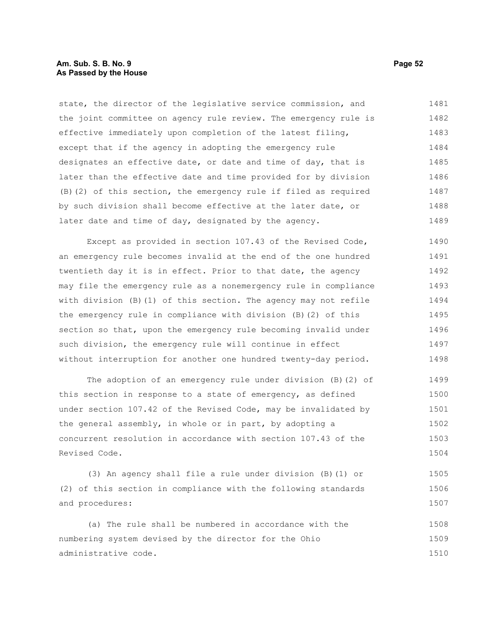#### **Am. Sub. S. B. No. 9 Page 52 As Passed by the House**

state, the director of the legislative service commission, and the joint committee on agency rule review. The emergency rule is effective immediately upon completion of the latest filing, except that if the agency in adopting the emergency rule designates an effective date, or date and time of day, that is later than the effective date and time provided for by division (B)(2) of this section, the emergency rule if filed as required by such division shall become effective at the later date, or later date and time of day, designated by the agency. 1481 1482 1483 1484 1485 1486 1487 1488 1489

Except as provided in section 107.43 of the Revised Code, an emergency rule becomes invalid at the end of the one hundred twentieth day it is in effect. Prior to that date, the agency may file the emergency rule as a nonemergency rule in compliance with division (B)(1) of this section. The agency may not refile the emergency rule in compliance with division (B)(2) of this section so that, upon the emergency rule becoming invalid under such division, the emergency rule will continue in effect without interruption for another one hundred twenty-day period. 1490 1491 1492 1493 1494 1495 1496 1497 1498

The adoption of an emergency rule under division (B)(2) of this section in response to a state of emergency, as defined under section 107.42 of the Revised Code, may be invalidated by the general assembly, in whole or in part, by adopting a concurrent resolution in accordance with section 107.43 of the Revised Code. 1499 1500 1501 1502 1503 1504

(3) An agency shall file a rule under division (B)(1) or (2) of this section in compliance with the following standards and procedures: 1505 1506 1507

(a) The rule shall be numbered in accordance with the numbering system devised by the director for the Ohio administrative code. 1508 1509 1510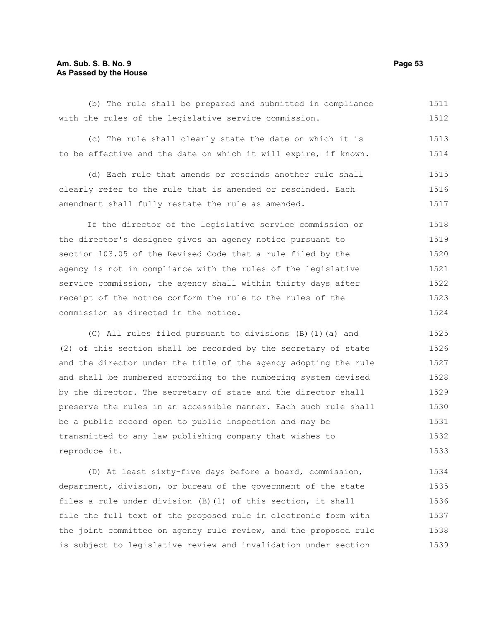#### **Am. Sub. S. B. No. 9 Page 53 As Passed by the House**

(b) The rule shall be prepared and submitted in compliance with the rules of the legislative service commission. 1511 1512

(c) The rule shall clearly state the date on which it is to be effective and the date on which it will expire, if known. 1513 1514

(d) Each rule that amends or rescinds another rule shall clearly refer to the rule that is amended or rescinded. Each amendment shall fully restate the rule as amended. 1515 1516 1517

If the director of the legislative service commission or the director's designee gives an agency notice pursuant to section 103.05 of the Revised Code that a rule filed by the agency is not in compliance with the rules of the legislative service commission, the agency shall within thirty days after receipt of the notice conform the rule to the rules of the commission as directed in the notice. 1518 1519 1520 1521 1522 1523 1524

(C) All rules filed pursuant to divisions (B)(1)(a) and (2) of this section shall be recorded by the secretary of state and the director under the title of the agency adopting the rule and shall be numbered according to the numbering system devised by the director. The secretary of state and the director shall preserve the rules in an accessible manner. Each such rule shall be a public record open to public inspection and may be transmitted to any law publishing company that wishes to reproduce it. 1525 1526 1527 1528 1529 1530 1531 1532 1533

(D) At least sixty-five days before a board, commission, department, division, or bureau of the government of the state files a rule under division (B)(1) of this section, it shall file the full text of the proposed rule in electronic form with the joint committee on agency rule review, and the proposed rule is subject to legislative review and invalidation under section 1534 1535 1536 1537 1538 1539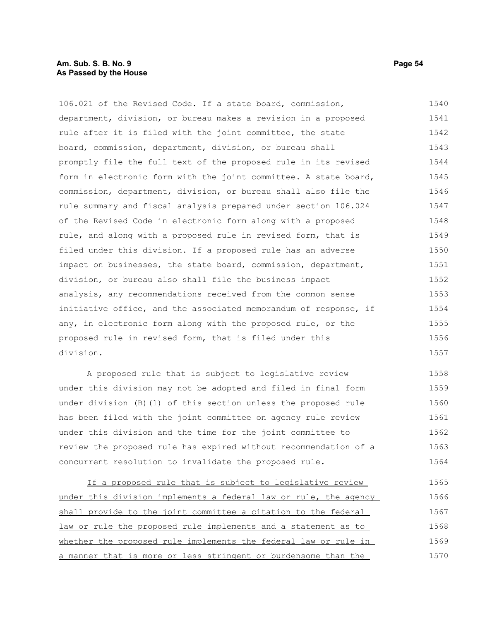#### **Am. Sub. S. B. No. 9 Page 54 As Passed by the House**

106.021 of the Revised Code. If a state board, commission, department, division, or bureau makes a revision in a proposed rule after it is filed with the joint committee, the state board, commission, department, division, or bureau shall promptly file the full text of the proposed rule in its revised form in electronic form with the joint committee. A state board, commission, department, division, or bureau shall also file the rule summary and fiscal analysis prepared under section 106.024 of the Revised Code in electronic form along with a proposed rule, and along with a proposed rule in revised form, that is filed under this division. If a proposed rule has an adverse impact on businesses, the state board, commission, department, division, or bureau also shall file the business impact analysis, any recommendations received from the common sense initiative office, and the associated memorandum of response, if any, in electronic form along with the proposed rule, or the proposed rule in revised form, that is filed under this division. 1540 1541 1542 1543 1544 1545 1546 1547 1548 1549 1550 1551 1552 1553 1554 1555 1556 1557

A proposed rule that is subject to legislative review under this division may not be adopted and filed in final form under division (B)(1) of this section unless the proposed rule has been filed with the joint committee on agency rule review under this division and the time for the joint committee to review the proposed rule has expired without recommendation of a concurrent resolution to invalidate the proposed rule. 1558 1559 1560 1561 1562 1563 1564

If a proposed rule that is subject to legislative review under this division implements a federal law or rule, the agency shall provide to the joint committee a citation to the federal law or rule the proposed rule implements and a statement as to whether the proposed rule implements the federal law or rule in a manner that is more or less stringent or burdensome than the 1565 1566 1567 1568 1569 1570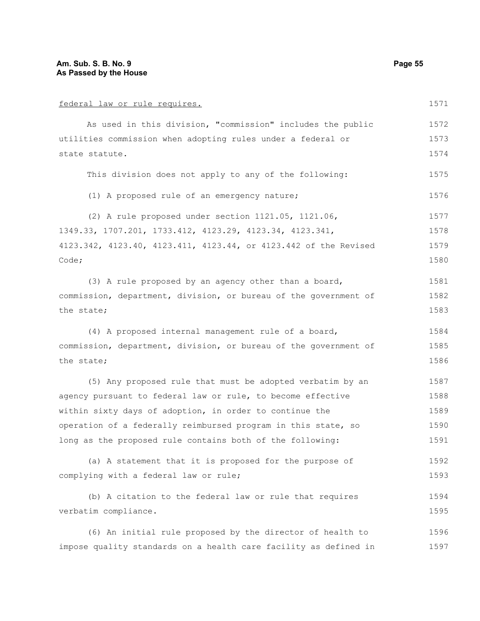| federal law or rule requires.                                    |      |  |  |
|------------------------------------------------------------------|------|--|--|
| As used in this division, "commission" includes the public       | 1572 |  |  |
| utilities commission when adopting rules under a federal or      |      |  |  |
| state statute.                                                   |      |  |  |
| This division does not apply to any of the following:            | 1575 |  |  |
| (1) A proposed rule of an emergency nature;                      | 1576 |  |  |
| (2) A rule proposed under section 1121.05, 1121.06,              | 1577 |  |  |
| 1349.33, 1707.201, 1733.412, 4123.29, 4123.34, 4123.341,         | 1578 |  |  |
| 4123.342, 4123.40, 4123.411, 4123.44, or 4123.442 of the Revised | 1579 |  |  |
| Code;                                                            | 1580 |  |  |
| (3) A rule proposed by an agency other than a board,             | 1581 |  |  |
| commission, department, division, or bureau of the government of | 1582 |  |  |
| the state;                                                       | 1583 |  |  |
| (4) A proposed internal management rule of a board,              | 1584 |  |  |
| commission, department, division, or bureau of the government of |      |  |  |
| the state;                                                       | 1586 |  |  |
| (5) Any proposed rule that must be adopted verbatim by an        | 1587 |  |  |
| agency pursuant to federal law or rule, to become effective      | 1588 |  |  |
| within sixty days of adoption, in order to continue the          | 1589 |  |  |
| operation of a federally reimbursed program in this state, so    | 1590 |  |  |
| long as the proposed rule contains both of the following:        | 1591 |  |  |
| (a) A statement that it is proposed for the purpose of           | 1592 |  |  |
| complying with a federal law or rule;                            | 1593 |  |  |
| (b) A citation to the federal law or rule that requires          | 1594 |  |  |
| verbatim compliance.                                             | 1595 |  |  |
| (6) An initial rule proposed by the director of health to        | 1596 |  |  |
| impose quality standards on a health care facility as defined in | 1597 |  |  |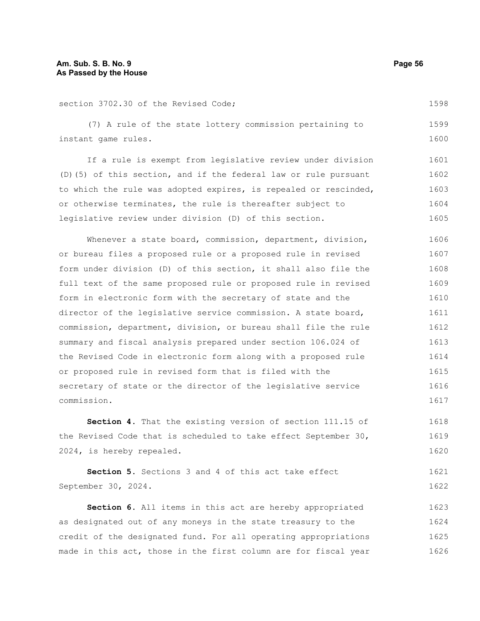section 3702.30 of the Revised Code;

(7) A rule of the state lottery commission pertaining to instant game rules. 1599 1600

If a rule is exempt from legislative review under division (D)(5) of this section, and if the federal law or rule pursuant to which the rule was adopted expires, is repealed or rescinded, or otherwise terminates, the rule is thereafter subject to legislative review under division (D) of this section. 1601 1602 1603 1604 1605

Whenever a state board, commission, department, division, or bureau files a proposed rule or a proposed rule in revised form under division (D) of this section, it shall also file the full text of the same proposed rule or proposed rule in revised form in electronic form with the secretary of state and the director of the legislative service commission. A state board, commission, department, division, or bureau shall file the rule summary and fiscal analysis prepared under section 106.024 of the Revised Code in electronic form along with a proposed rule or proposed rule in revised form that is filed with the secretary of state or the director of the legislative service commission. 1606 1607 1608 1609 1610 1611 1612 1613 1614 1615 1616 1617

**Section 4.** That the existing version of section 111.15 of the Revised Code that is scheduled to take effect September 30, 2024, is hereby repealed. 1618 1619 1620

**Section 5.** Sections 3 and 4 of this act take effect September 30, 2024. 1621 1622

**Section 6.** All items in this act are hereby appropriated as designated out of any moneys in the state treasury to the credit of the designated fund. For all operating appropriations made in this act, those in the first column are for fiscal year 1623 1624 1625 1626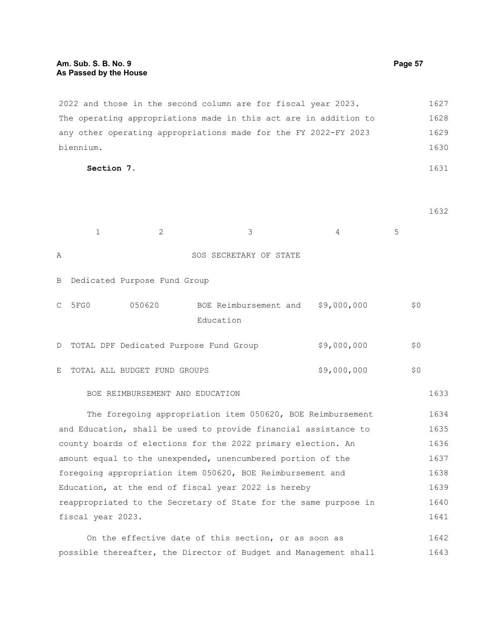2022 and those in the second column are for fiscal year 2023. The operating appropriations made in this act are in addition to any other operating appropriations made for the FY 2022-FY 2023 biennium. 1627 1628 1629 1630

**Section 7.** 

1632

1643

1631

|                                                                 | $\mathbf{1}$                                                     | $\overline{2}$               | 3                                      | 4           | 5   |      |
|-----------------------------------------------------------------|------------------------------------------------------------------|------------------------------|----------------------------------------|-------------|-----|------|
| Α                                                               |                                                                  |                              | SOS SECRETARY OF STATE                 |             |     |      |
| B                                                               |                                                                  | Dedicated Purpose Fund Group |                                        |             |     |      |
| $\mathcal{C}$                                                   | 5FG0                                                             | 050620                       | BOE Reimbursement and<br>Education     | \$9,000,000 | \$0 |      |
| D                                                               |                                                                  |                              | TOTAL DPF Dedicated Purpose Fund Group | \$9,000,000 | \$0 |      |
| E                                                               |                                                                  | TOTAL ALL BUDGET FUND GROUPS |                                        | \$9,000,000 | \$0 |      |
|                                                                 | BOE REIMBURSEMENT AND EDUCATION                                  |                              |                                        |             |     | 1633 |
|                                                                 | The foregoing appropriation item 050620, BOE Reimbursement       |                              |                                        |             |     | 1634 |
| and Education, shall be used to provide financial assistance to |                                                                  |                              |                                        |             |     | 1635 |
|                                                                 | county boards of elections for the 2022 primary election. An     |                              |                                        |             |     | 1636 |
|                                                                 | amount equal to the unexpended, unencumbered portion of the      |                              |                                        |             |     | 1637 |
|                                                                 | foregoing appropriation item 050620, BOE Reimbursement and       |                              |                                        |             |     | 1638 |
|                                                                 | Education, at the end of fiscal year 2022 is hereby              |                              |                                        |             |     | 1639 |
|                                                                 | reappropriated to the Secretary of State for the same purpose in |                              |                                        |             |     | 1640 |
|                                                                 | fiscal year 2023.                                                |                              |                                        |             |     | 1641 |
| On the effective date of this section, or as soon as            |                                                                  |                              |                                        |             |     | 1642 |

possible thereafter, the Director of Budget and Management shall